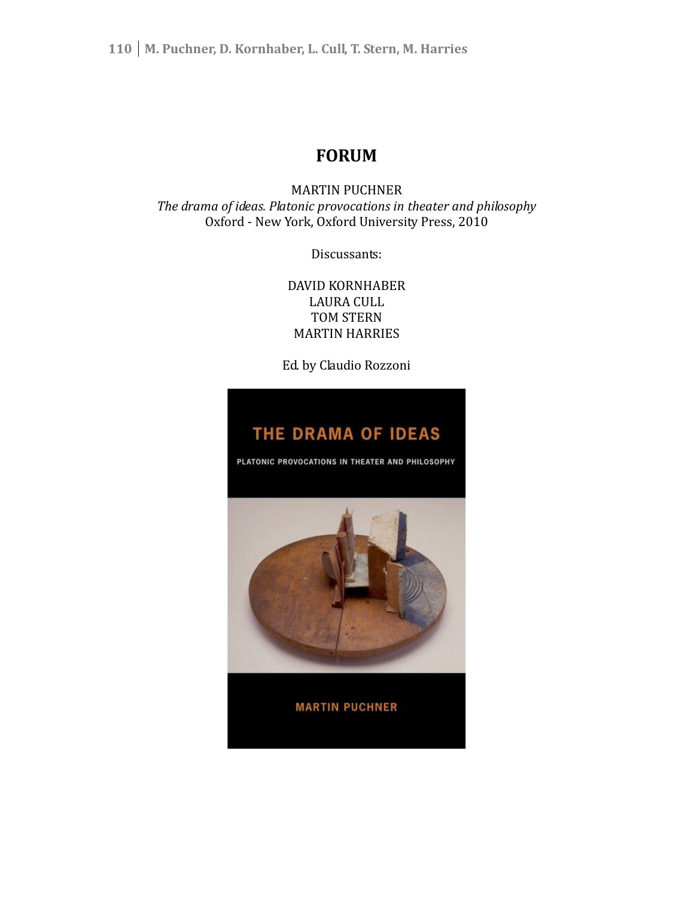# **FORUM**

MARTIN PUCHNER *The drama of ideas. Platonic provocations in theater and philosophy* Oxford - New York, Oxford University Press, 2010

Discussants:

DAVID KORNHABER LAURA CULL TOM STERN MARTIN HARRIES

Ed. by Claudio Rozzoni

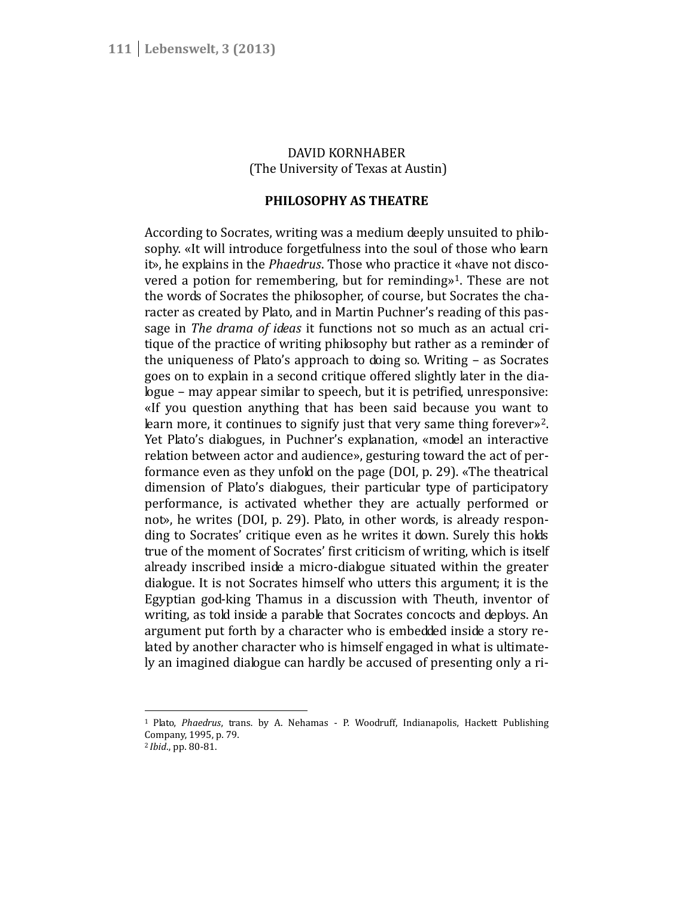# DAVID KORNHABER (The University of Texas at Austin)

# **PHILOSOPHY AS THEATRE**

According to Socrates, writing was a medium deeply unsuited to philo sophy. «It will introduce forgetfulness into the soul of those who learn it», he explains in the *Phaedrus*. Those who practice it «have not disco vered a potion for remembering, but for reminding»<sup>1</sup>. These are not the words of Socrates the philosopher, of course, but Socrates the cha racter as created by Plato, and in Martin Puchner's reading of this pas sage in *The drama of ideas* it functions not so much as an actual cri tique of the practice of writing philosophy but rather as a reminder of the uniqueness of Plato's approach to doing so. Writing – as Socrates goes on to explain in a second critique offered slightly later in the dialogue – may appear similar to speech, but it is petrified, unresponsive: «If you question anything that has been said because you want to learn more, it continues to signify just that very same thing forever»<sup>2</sup>. Yet Plato's dialogues, in Puchner's explanation, «model an interactive relation between actor and audience», gesturing toward the act of performance even as they unfold on the page (DOI, p. 29). «The theatrical dimension of Plato's dialogues, their particular type of participatory performance, is activated whether they are actually performed or not», he writes (DOI, p. 29). Plato, in other words, is already respon ding to Socrates' critique even as he writes it down. Surely this holds true of the moment of Socrates' first criticism of writing, which is itself already inscribed inside a micro-dialogue situated within the greater dialogue. It is not Socrates himself who utters this argument; it is the Egyptian god-king Thamus in a discussion with Theuth, inventor of writing, as told inside a parable that Socrates concocts and deploys. An argument put forth by a character who is embedded inside a story related by another character who is himself engaged in what is ultimately an imagined dialogue can hardly be accused of presenting only a ri-

<sup>1</sup> Plato, *Phaedrus*, trans. by A. Nehamas - P. Woodruff, Indianapolis, Hackett Publishing Company, 1995, p. 79.

<sup>2</sup> *Ibid*., pp. 80-81.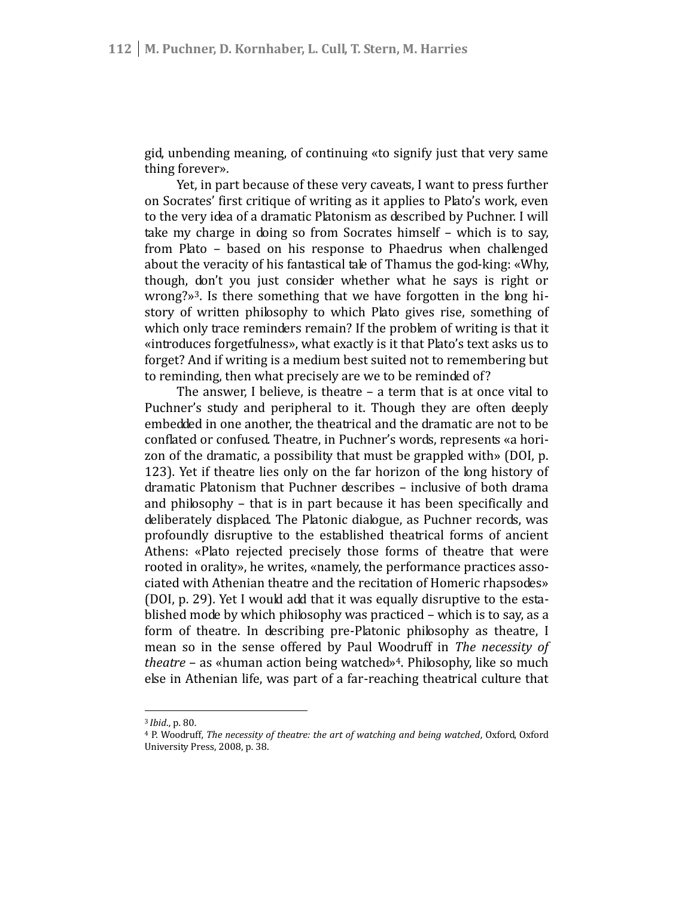gid, unbending meaning, of continuing «to signify just that very same thing forever».

Yet, in part because of these very caveats, I want to press further on Socrates' first critique of writing as it applies to Plato's work, even to the very idea of a dramatic Platonism as described by Puchner. I will take my charge in doing so from Socrates himself – which is to say, from Plato – based on his response to Phaedrus when challenged about the veracity of his fantastical tale of Thamus the god-king: «Why, though, don't you just consider whether what he says is right or wrong?»<sup>3</sup>. Is there something that we have forgotten in the long hi story of written philosophy to which Plato gives rise, something of which only trace reminders remain? If the problem of writing is that it «introduces forgetfulness», what exactly is it that Plato's text asks us to forget? And if writing is a medium best suited not to remembering but to reminding, then what precisely are we to be reminded of?

The answer, I believe, is theatre – a term that is at once vital to Puchner's study and peripheral to it. Though they are often deeply embedded in one another, the theatrical and the dramatic are not to be conflated or confused. Theatre, in Puchner's words, represents «a hori zon of the dramatic, a possibility that must be grappled with» (DOI, p. 123). Yet if theatre lies only on the far horizon of the long history of dramatic Platonism that Puchner describes – inclusive of both drama and philosophy – that is in part because it has been specifically and deliberately displaced. The Platonic dialogue, as Puchner records, was profoundly disruptive to the established theatrical forms of ancient Athens: «Plato rejected precisely those forms of theatre that were rooted in orality», he writes, «namely, the performance practices asso ciated with Athenian theatre and the recitation of Homeric rhapsodes» (DOI, p. 29). Yet I would add that it was equally disruptive to the esta blished mode by which philosophy was practiced – which is to say, as a form of theatre. In describing pre-Platonic philosophy as theatre, I mean so in the sense offered by Paul Woodruff in *The necessity of theatre* – as «human action being watched»<sup>4</sup>. Philosophy, like so much else in Athenian life, was part of a far-reaching theatrical culture that

<sup>3</sup> *Ibid*., p. 80.

<sup>4</sup> P. Woodruff, *The necessity of theatre: the art of watching and being watched*, Oxford, Oxford University Press, 2008, p. 38.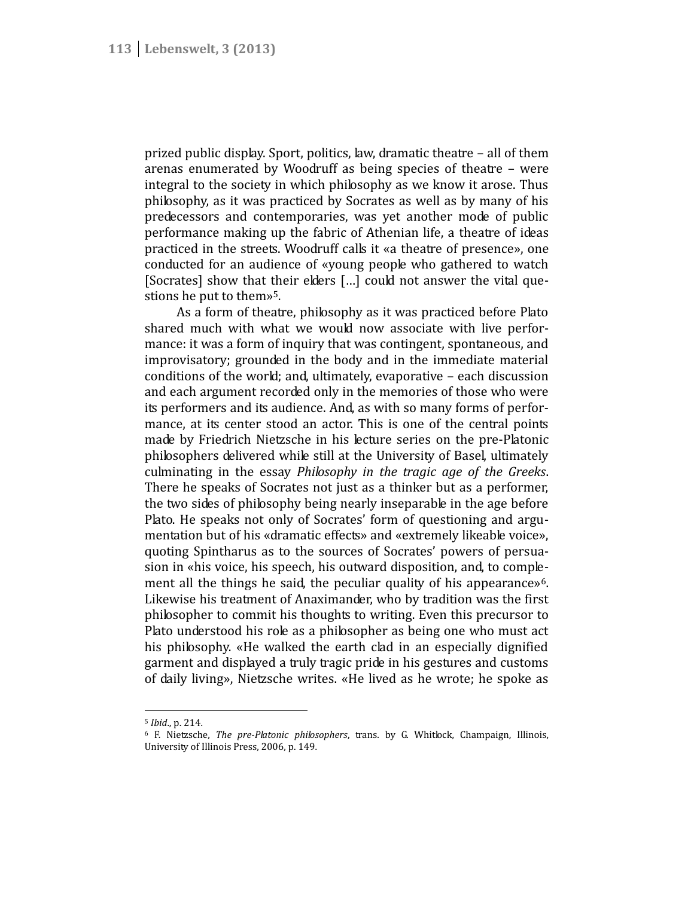prized public display. Sport, politics, law, dramatic theatre – all of them arenas enumerated by Woodruff as being species of theatre – were integral to the society in which philosophy as we know it arose. Thus philosophy, as it was practiced by Socrates as well as by many of his predecessors and contemporaries, was yet another mode of public performance making up the fabric of Athenian life, a theatre of ideas practiced in the streets. Woodruff calls it «a theatre of presence», one conducted for an audience of «young people who gathered to watch [Socrates] show that their elders [...] could not answer the vital questions he put to them»<sup>5</sup>.

As a form of theatre, philosophy as it was practiced before Plato shared much with what we would now associate with live perfor mance: it was a form of inquiry that was contingent, spontaneous, and improvisatory; grounded in the body and in the immediate material conditions of the world; and, ultimately, evaporative – each discussion and each argument recorded only in the memories of those who were its performers and its audience. And, as with so many forms of perfor mance, at its center stood an actor. This is one of the central points made by Friedrich Nietzsche in his lecture series on the pre-Platonic philosophers delivered while still at the University of Basel, ultimately culminating in the essay *Philosophy in the tragic age of the Greeks*. There he speaks of Socrates not just as a thinker but as a performer, the two sides of philosophy being nearly inseparable in the age before Plato. He speaks not only of Socrates' form of questioning and argu mentation but of his «dramatic effects» and «extremely likeable voice», quoting Spintharus as to the sources of Socrates' powers of persua sion in «his voice, his speech, his outward disposition, and, to comple ment all the things he said, the peculiar quality of his appearance»<sup>6</sup>. Likewise his treatment of Anaximander, who by tradition was the first philosopher to commit his thoughts to writing. Even this precursor to Plato understood his role as a philosopher as being one who must act his philosophy. «He walked the earth clad in an especially dignified garment and displayed a truly tragic pride in his gestures and customs of daily living», Nietzsche writes. «He lived as he wrote; he spoke as

<sup>5</sup> *Ibid*., p. 214.

<sup>6</sup> F. Nietzsche, *The pre-Platonic philosophers*, trans. by G. Whitlock, Champaign, Illinois, University of Illinois Press, 2006, p. 149.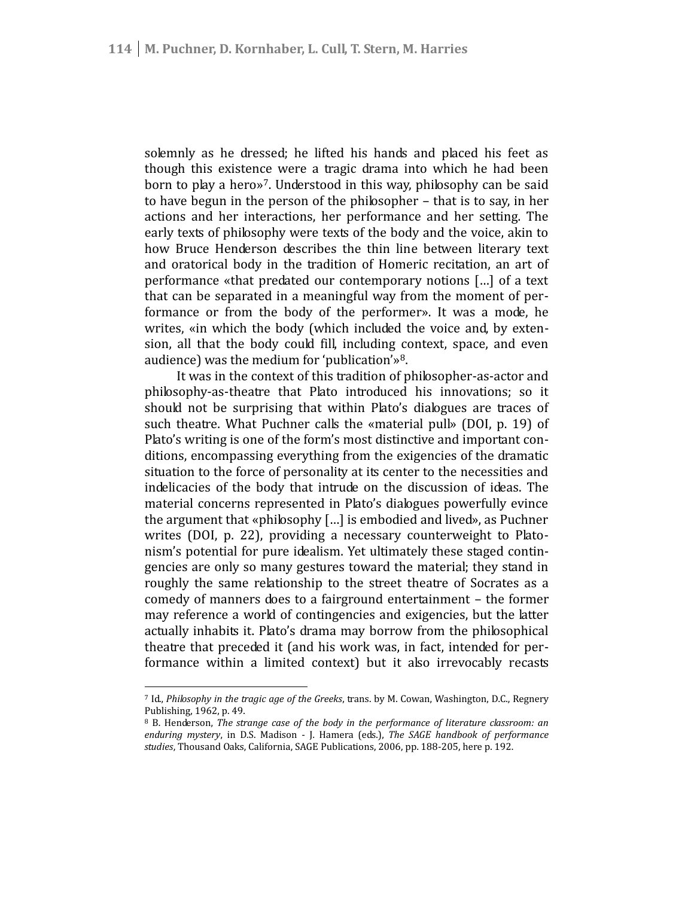solemnly as he dressed; he lifted his hands and placed his feet as though this existence were a tragic drama into which he had been born to play a hero»<sup>7</sup>. Understood in this way, philosophy can be said to have begun in the person of the philosopher – that is to say, in her actions and her interactions, her performance and her setting. The early texts of philosophy were texts of the body and the voice, akin to how Bruce Henderson describes the thin line between literary text and oratorical body in the tradition of Homeric recitation, an art of performance «that predated our contemporary notions […] of a text that can be separated in a meaningful way from the moment of performance or from the body of the performer». It was a mode, he writes, «in which the body (which included the voice and, by exten sion, all that the body could fill, including context, space, and even audience) was the medium for 'publication'»<sup>8</sup>.

It was in the context of this tradition of philosopher-as-actor and philosophy-as-theatre that Plato introduced his innovations; so it should not be surprising that within Plato's dialogues are traces of such theatre. What Puchner calls the «material pull» (DOI, p. 19) of Plato's writing is one of the form's most distinctive and important con ditions, encompassing everything from the exigencies of the dramatic situation to the force of personality at its center to the necessities and indelicacies of the body that intrude on the discussion of ideas. The material concerns represented in Plato's dialogues powerfully evince the argument that «philosophy […] is embodied and lived», as Puchner writes (DOI, p. 22), providing a necessary counterweight to Plato nism's potential for pure idealism. Yet ultimately these staged contin gencies are only so many gestures toward the material; they stand in roughly the same relationship to the street theatre of Socrates as a comedy of manners does to a fairground entertainment – the former may reference a world of contingencies and exigencies, but the latter actually inhabits it. Plato's drama may borrow from the philosophical theatre that preceded it (and his work was, in fact, intended for performance within a limited context) but it also irrevocably recasts

<sup>7</sup> Id., *Philosophy in the tragic age of the Greeks*, trans. by M. Cowan, Washington, D.C., Regnery Publishing, 1962, p. 49.

<sup>8</sup> B. Henderson, *The strange case of the body in the performance of literature classroom: an enduring mystery*, in D.S. Madison - J. Hamera (eds.), *The SAGE handbook of performance studies*, Thousand Oaks, California, SAGE Publications, 2006, pp. 188-205, here p. 192.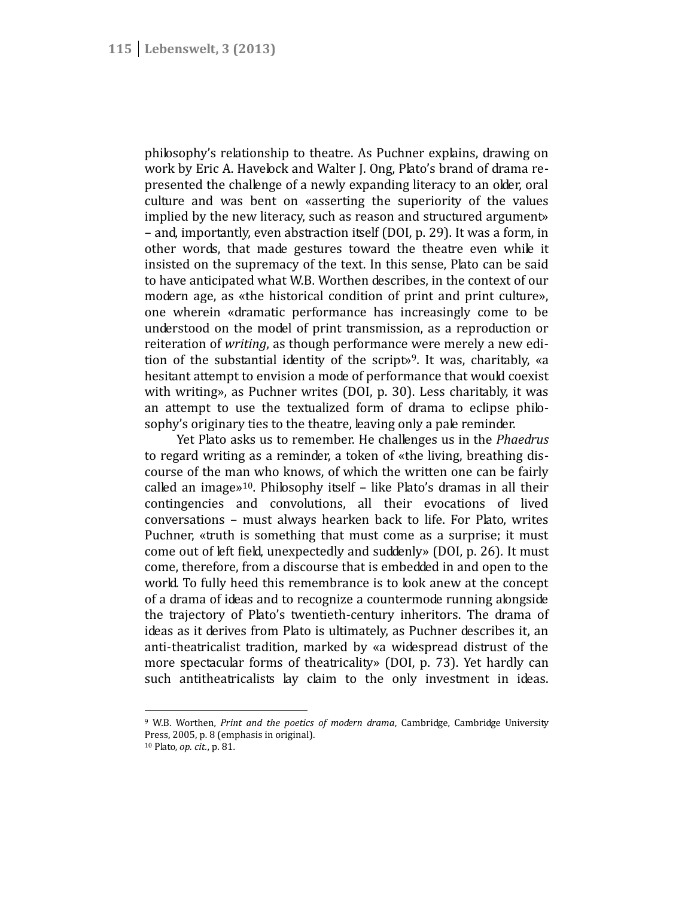philosophy's relationship to theatre. As Puchner explains, drawing on work by Eric A. Havelock and Walter J. Ong, Plato's brand of drama re presented the challenge of a newly expanding literacy to an older, oral culture and was bent on «asserting the superiority of the values implied by the new literacy, such as reason and structured argument» – and, importantly, even abstraction itself (DOI, p. 29). It was a form, in other words, that made gestures toward the theatre even while it insisted on the supremacy of the text. In this sense, Plato can be said to have anticipated what W.B. Worthen describes, in the context of our modern age, as «the historical condition of print and print culture», one wherein «dramatic performance has increasingly come to be understood on the model of print transmission, as a reproduction or reiteration of *writing*, as though performance were merely a new edi tion of the substantial identity of the script»<sup>9</sup>. It was, charitably, «a hesitant attempt to envision a mode of performance that would coexist with writing», as Puchner writes (DOI, p. 30). Less charitably, it was an attempt to use the textualized form of drama to eclipse philo sophy's originary ties to the theatre, leaving only a pale reminder.

Yet Plato asks us to remember. He challenges us in the *Phaedrus* to regard writing as a reminder, a token of «the living, breathing dis course of the man who knows, of which the written one can be fairly called an image»<sup>10</sup>. Philosophy itself  $-$  like Plato's dramas in all their contingencies and convolutions, all their evocations of lived conversations – must always hearken back to life. For Plato, writes Puchner, «truth is something that must come as a surprise; it must come out of left field, unexpectedly and suddenly» (DOI, p. 26). It must come, therefore, from a discourse that is embedded in and open to the world. To fully heed this remembrance is to look anew at the concept of a drama of ideas and to recognize a countermode running alongside the trajectory of Plato's twentieth-century inheritors. The drama of ideas as it derives from Plato is ultimately, as Puchner describes it, an anti-theatricalist tradition, marked by «a widespread distrust of the more spectacular forms of theatricality» (DOI, p. 73). Yet hardly can such antitheatricalists lay claim to the only investment in ideas.

<sup>9</sup> W.B. Worthen, *Print and the poetics of modern drama*, Cambridge, Cambridge University Press, 2005, p. 8 (emphasis in original).

<sup>10</sup> Plato, *op. cit.*, p. 81.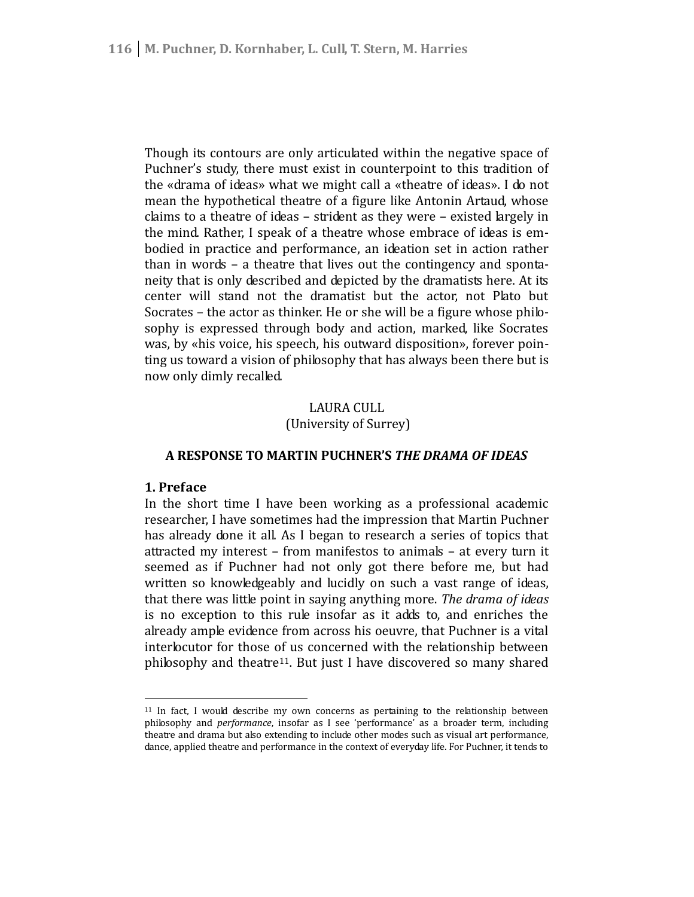Though its contours are only articulated within the negative space of Puchner's study, there must exist in counterpoint to this tradition of the «drama of ideas» what we might call a «theatre of ideas». I do not mean the hypothetical theatre of a figure like Antonin Artaud, whose claims to a theatre of ideas – strident as they were – existed largely in the mind. Rather, I speak of a theatre whose embrace of ideas is em bodied in practice and performance, an ideation set in action rather than in words – a theatre that lives out the contingency and sponta neity that is only described and depicted by the dramatists here. At its center will stand not the dramatist but the actor, not Plato but Socrates – the actor as thinker. He or she will be a figure whose philo sophy is expressed through body and action, marked, like Socrates was, by «his voice, his speech, his outward disposition», forever poin ting us toward a vision of philosophy that has always been there but is now only dimly recalled.

# LAURA CULL (University of Surrey)

# **A RESPONSE TO MARTIN PUCHNER'S** *THE DRAMA OF IDEAS*

# **1. Preface**

In the short time I have been working as a professional academic researcher, I have sometimes had the impression that Martin Puchner has already done it all. As I began to research a series of topics that attracted my interest – from manifestos to animals – at every turn it seemed as if Puchner had not only got there before me, but had written so knowledgeably and lucidly on such a vast range of ideas, that there was little point in saying anything more. *The drama of ideas* is no exception to this rule insofar as it adds to, and enriches the already ample evidence from across his oeuvre, that Puchner is a vital interlocutor for those of us concerned with the relationship between philosophy and theatre<sup>11</sup>. But just I have discovered so many shared

<sup>&</sup>lt;sup>11</sup> In fact, I would describe my own concerns as pertaining to the relationship between philosophy and *performance*, insofar as I see 'performance' as a broader term, including theatre and drama but also extending to include other modes such as visual art performance, dance, applied theatre and performance in the context of everyday life. For Puchner, it tends to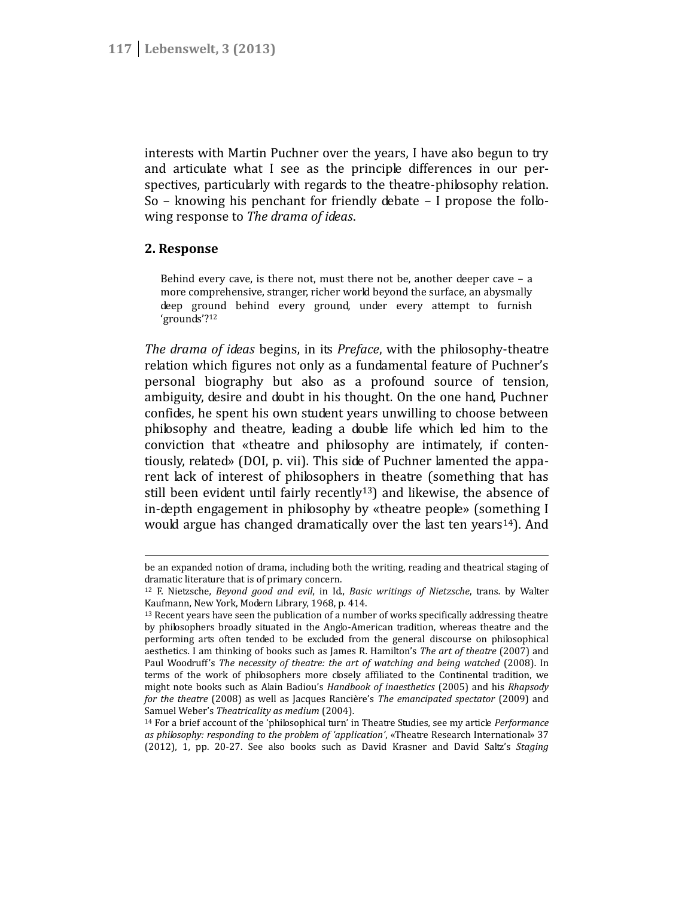interests with Martin Puchner over the years, I have also begun to try and articulate what I see as the principle differences in our per spectives, particularly with regards to the theatre-philosophy relation. So – knowing his penchant for friendly debate – I propose the follo wing response to *The drama of ideas*.

# **2. Response**

Behind every cave, is there not, must there not be, another deeper cave – a more comprehensive, stranger, richer world beyond the surface, an abysmally deep ground behind every ground, under every attempt to furnish 'grounds'?<sup>12</sup>

*The drama of ideas* begins, in its *Preface*, with the philosophy-theatre relation which figures not only as a fundamental feature of Puchner's personal biography but also as a profound source of tension, ambiguity, desire and doubt in his thought. On the one hand, Puchner confides, he spent his own student years unwilling to choose between philosophy and theatre, leading a double life which led him to the conviction that «theatre and philosophy are intimately, if conten tiously, related» (DOI, p. vii). This side of Puchner lamented the appa rent lack of interest of philosophers in theatre (something that has still been evident until fairly recently<sup>13</sup>) and likewise, the absence of in-depth engagement in philosophy by «theatre people» (something I would argue has changed dramatically over the last ten years<sup>14</sup>). And

be an expanded notion of drama, including both the writing, reading and theatrical staging of dramatic literature that is of primary concern.

<sup>12</sup> F. Nietzsche, *Beyond good and evil*, in Id., *Basic writings of Nietzsche*, trans. by Walter Kaufmann, New York, Modern Library, 1968, p. 414.

<sup>&</sup>lt;sup>13</sup> Recent years have seen the publication of a number of works specifically addressing theatre by philosophers broadly situated in the Anglo-American tradition, whereas theatre and the performing arts often tended to be excluded from the general discourse on philosophical aesthetics. I am thinking of books such as James R. Hamilton's *The art of theatre* (2007) and Paul Woodruff's *The necessity of theatre: the art of watching and being watched* (2008). In terms of the work of philosophers more closely affiliated to the Continental tradition, we might note books such as Alain Badiou's *Handbook of inaesthetics* (2005) and his *Rhapsody for the theatre* (2008) as well as Jacques Rancière's *The emancipated spectator* (2009) and Samuel Weber's *Theatricality as medium* (2004).

<sup>14</sup> For a brief account of the 'philosophical turn' in Theatre Studies, see my article *Performance as philosophy: responding to the problem of 'application'*, «Theatre Research International» 37 (2012), 1, pp. 20-27. See also books such as David Krasner and David Saltz's *Staging*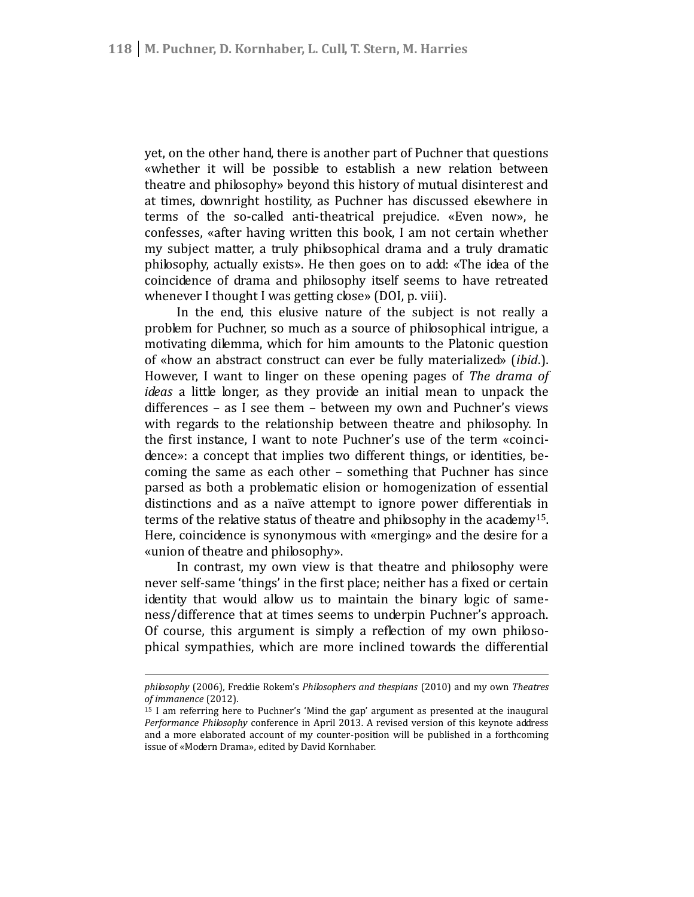yet, on the other hand, there is another part of Puchner that questions «whether it will be possible to establish a new relation between theatre and philosophy» beyond this history of mutual disinterest and at times, downright hostility, as Puchner has discussed elsewhere in terms of the so-called anti-theatrical prejudice. «Even now», he confesses, «after having written this book, I am not certain whether my subject matter, a truly philosophical drama and a truly dramatic philosophy, actually exists». He then goes on to add: «The idea of the coincidence of drama and philosophy itself seems to have retreated whenever I thought I was getting close» (DOI, p. viii).

In the end, this elusive nature of the subject is not really a problem for Puchner, so much as a source of philosophical intrigue, a motivating dilemma, which for him amounts to the Platonic question of «how an abstract construct can ever be fully materialized» (*ibid*.). However, I want to linger on these opening pages of *The drama of ideas* a little longer, as they provide an initial mean to unpack the differences – as I see them – between my own and Puchner's views with regards to the relationship between theatre and philosophy. In the first instance, I want to note Puchner's use of the term «coinci dence»: a concept that implies two different things, or identities, be coming the same as each other – something that Puchner has since parsed as both a problematic elision or homogenization of essential distinctions and as a naïve attempt to ignore power differentials in terms of the relative status of theatre and philosophy in the academy<sup>15</sup>. Here, coincidence is synonymous with «merging» and the desire for a «union of theatre and philosophy».

In contrast, my own view is that theatre and philosophy were never self-same 'things' in the first place; neither has a fixed or certain identity that would allow us to maintain the binary logic of same ness/difference that at times seems to underpin Puchner's approach. Of course, this argument is simply a reflection of my own philoso phical sympathies, which are more inclined towards the differential

*philosophy* (2006), Freddie Rokem's *Philosophers and thespians* (2010) and my own *Theatres of immanence* (2012).

<sup>15</sup> I am referring here to Puchner's 'Mind the gap' argument as presented at the inaugural *Performance Philosophy* conference in April 2013. A revised version of this keynote address and a more elaborated account of my counter-position will be published in a forthcoming issue of «Modern Drama», edited by David Kornhaber.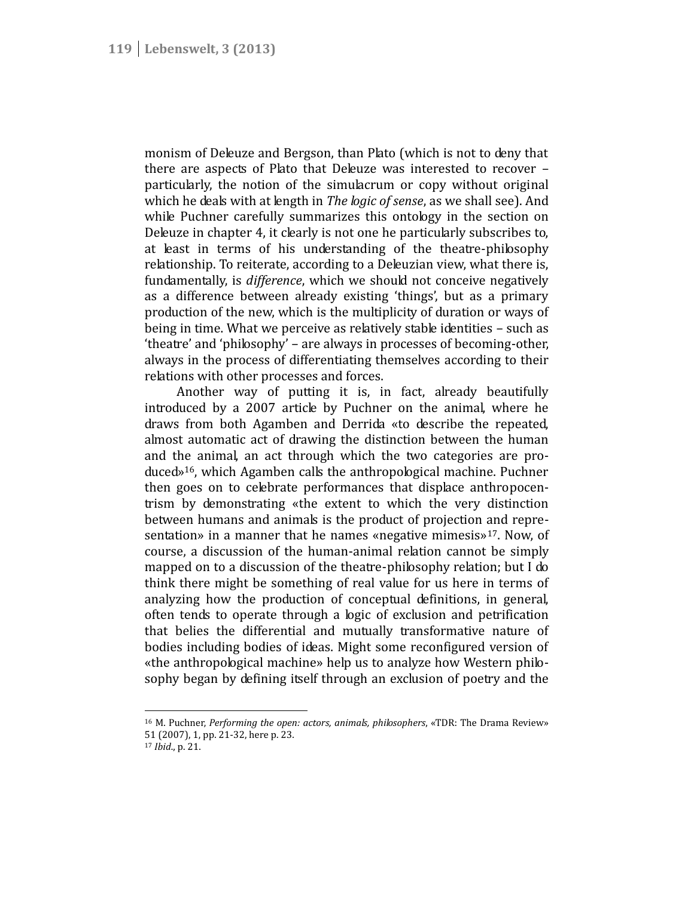monism of Deleuze and Bergson, than Plato (which is not to deny that there are aspects of Plato that Deleuze was interested to recover – particularly, the notion of the simulacrum or copy without original which he deals with at length in *The logic of sense*, as we shall see). And while Puchner carefully summarizes this ontology in the section on Deleuze in chapter 4, it clearly is not one he particularly subscribes to, at least in terms of his understanding of the theatre-philosophy relationship. To reiterate, according to a Deleuzian view, what there is, fundamentally, is *difference*, which we should not conceive negatively as a difference between already existing 'things', but as a primary production of the new, which is the multiplicity of duration or ways of being in time. What we perceive as relatively stable identities – such as 'theatre' and 'philosophy' – are always in processes of becoming-other, always in the process of differentiating themselves according to their relations with other processes and forces.

Another way of putting it is, in fact, already beautifully introduced by a 2007 article by Puchner on the animal, where he draws from both Agamben and Derrida «to describe the repeated, almost automatic act of drawing the distinction between the human and the animal, an act through which the two categories are pro duced»<sup>16</sup>, which Agamben calls the anthropological machine. Puchner then goes on to celebrate performances that displace anthropocen trism by demonstrating «the extent to which the very distinction between humans and animals is the product of projection and repre sentation» in a manner that he names «negative mimesis»<sup>17</sup>. Now, of course, a discussion of the human-animal relation cannot be simply mapped on to a discussion of the theatre-philosophy relation; but I do think there might be something of real value for us here in terms of analyzing how the production of conceptual definitions, in general, often tends to operate through a logic of exclusion and petrification that belies the differential and mutually transformative nature of bodies including bodies of ideas. Might some reconfigured version of «the anthropological machine» help us to analyze how Western philo sophy began by defining itself through an exclusion of poetry and the

<sup>16</sup> M. Puchner, *Performing the open: actors, animals, philosophers*, «TDR: The Drama Review» 51 (2007), 1, pp. 21-32, here p. 23.

<sup>17</sup> *Ibid*., p. 21.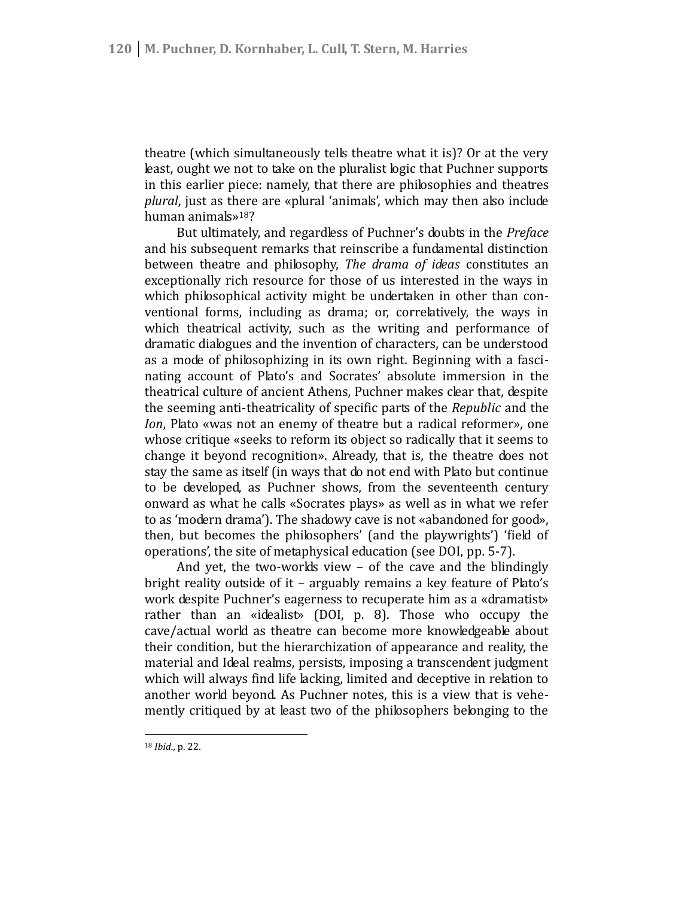theatre (which simultaneously tells theatre what it is)? Or at the very least, ought we not to take on the pluralist logic that Puchner supports in this earlier piece: namely, that there are philosophies and theatres *plural*, just as there are «plural 'animals', which may then also include human animals»<sup>18</sup>?

But ultimately, and regardless of Puchner's doubts in the *Preface* and his subsequent remarks that reinscribe a fundamental distinction between theatre and philosophy, *The drama of ideas* constitutes an exceptionally rich resource for those of us interested in the ways in which philosophical activity might be undertaken in other than conventional forms, including as drama; or, correlatively, the ways in which theatrical activity, such as the writing and performance of dramatic dialogues and the invention of characters, can be understood as a mode of philosophizing in its own right. Beginning with a fasci nating account of Plato's and Socrates' absolute immersion in the theatrical culture of ancient Athens, Puchner makes clear that, despite the seeming anti-theatricality of specific parts of the *Republic* and the *Ion*, Plato «was not an enemy of theatre but a radical reformer», one whose critique «seeks to reform its object so radically that it seems to change it beyond recognition». Already, that is, the theatre does not stay the same as itself (in ways that do not end with Plato but continue to be developed, as Puchner shows, from the seventeenth century onward as what he calls «Socrates plays» as well as in what we refer to as 'modern drama'). The shadowy cave is not «abandoned for good», then, but becomes the philosophers' (and the playwrights') 'field of operations', the site of metaphysical education (see DOI, pp. 5-7).

And yet, the two-worlds view – of the cave and the blindingly bright reality outside of it – arguably remains a key feature of Plato's work despite Puchner's eagerness to recuperate him as a «dramatist» rather than an «idealist» (DOI, p. 8). Those who occupy the cave/actual world as theatre can become more knowledgeable about their condition, but the hierarchization of appearance and reality, the material and Ideal realms, persists, imposing a transcendent judgment which will always find life lacking, limited and deceptive in relation to another world beyond. As Puchner notes, this is a view that is vehe mently critiqued by at least two of the philosophers belonging to the

<sup>18</sup> *Ibid*., p. 22.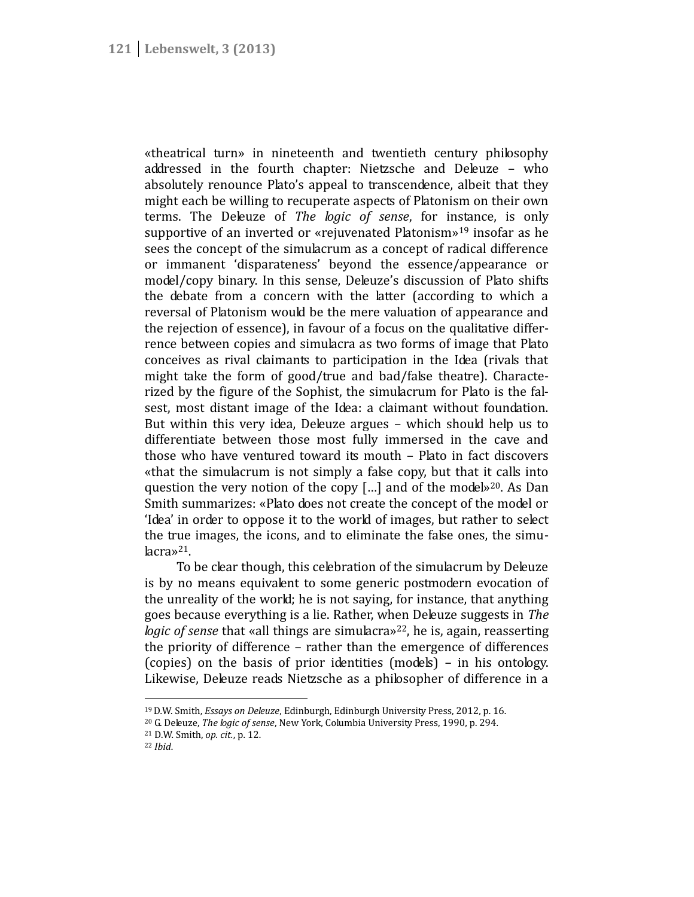«theatrical turn» in nineteenth and twentieth century philosophy addressed in the fourth chapter: Nietzsche and Deleuze – who absolutely renounce Plato's appeal to transcendence, albeit that they might each be willing to recuperate aspects of Platonism on their own terms. The Deleuze of *The logic of sense*, for instance, is only supportive of an inverted or «rejuvenated Platonism»<sup>19</sup> insofar as he sees the concept of the simulacrum as a concept of radical difference or immanent 'disparateness' beyond the essence/appearance or model/copy binary. In this sense, Deleuze's discussion of Plato shifts the debate from a concern with the latter (according to which a reversal of Platonism would be the mere valuation of appearance and the rejection of essence), in favour of a focus on the qualitative differ rence between copies and simulacra as two forms of image that Plato conceives as rival claimants to participation in the Idea (rivals that might take the form of good/true and bad/false theatre). Characte rized by the figure of the Sophist, the simulacrum for Plato is the fal sest, most distant image of the Idea: a claimant without foundation. But within this very idea, Deleuze argues – which should help us to differentiate between those most fully immersed in the cave and those who have ventured toward its mouth – Plato in fact discovers «that the simulacrum is not simply a false copy, but that it calls into question the very notion of the copy […] and of the model»<sup>20</sup>. As Dan Smith summarizes: «Plato does not create the concept of the model or 'Idea' in order to oppose it to the world of images, but rather to select the true images, the icons, and to eliminate the false ones, the simulacra»<sup>21</sup>.

To be clear though, this celebration of the simulacrum by Deleuze is by no means equivalent to some generic postmodern evocation of the unreality of the world; he is not saying, for instance, that anything goes because everything is a lie. Rather, when Deleuze suggests in *The logic of sense* that «all things are simulacra»<sup>22</sup>, he is, again, reasserting the priority of difference – rather than the emergence of differences (copies) on the basis of prior identities (models) – in his ontology. Likewise, Deleuze reads Nietzsche as a philosopher of difference in a

<sup>19</sup>D.W. Smith, *Essays on Deleuze*, Edinburgh, Edinburgh University Press, 2012, p. 16.

<sup>20</sup> G. Deleuze, *The logic of sense*, New York, Columbia University Press, 1990, p. 294.

<sup>21</sup> D.W. Smith, *op. cit.*, p. 12.

<sup>22</sup> *Ibid*.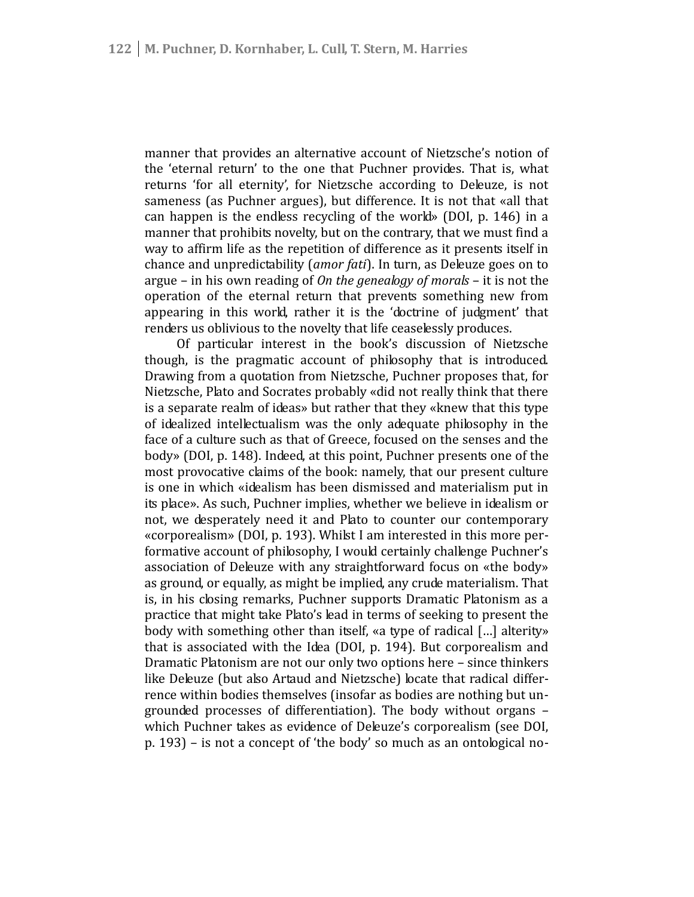manner that provides an alternative account of Nietzsche's notion of the 'eternal return' to the one that Puchner provides. That is, what returns 'for all eternity', for Nietzsche according to Deleuze, is not sameness (as Puchner argues), but difference. It is not that «all that can happen is the endless recycling of the world» (DOI, p. 146) in a manner that prohibits novelty, but on the contrary, that we must find a way to affirm life as the repetition of difference as it presents itself in chance and unpredictability (*amor fati*). In turn, as Deleuze goes on to argue – in his own reading of *On the genealogy of morals* – it is not the operation of the eternal return that prevents something new from appearing in this world, rather it is the 'doctrine of judgment' that renders us oblivious to the novelty that life ceaselessly produces.

Of particular interest in the book's discussion of Nietzsche though, is the pragmatic account of philosophy that is introduced. Drawing from a quotation from Nietzsche, Puchner proposes that, for Nietzsche, Plato and Socrates probably «did not really think that there is a separate realm of ideas» but rather that they «knew that this type of idealized intellectualism was the only adequate philosophy in the face of a culture such as that of Greece, focused on the senses and the body» (DOI, p. 148). Indeed, at this point, Puchner presents one of the most provocative claims of the book: namely, that our present culture is one in which «idealism has been dismissed and materialism put in its place». As such, Puchner implies, whether we believe in idealism or not, we desperately need it and Plato to counter our contemporary «corporealism» (DOI, p. 193). Whilst I am interested in this more performative account of philosophy, I would certainly challenge Puchner's association of Deleuze with any straightforward focus on «the body» as ground, or equally, as might be implied, any crude materialism. That is, in his closing remarks, Puchner supports Dramatic Platonism as a practice that might take Plato's lead in terms of seeking to present the body with something other than itself, «a type of radical […] alterity» that is associated with the Idea (DOI, p. 194). But corporealism and Dramatic Platonism are not our only two options here – since thinkers like Deleuze (but also Artaud and Nietzsche) locate that radical differ rence within bodies themselves (insofar as bodies are nothing but un grounded processes of differentiation). The body without organs – which Puchner takes as evidence of Deleuze's corporealism (see DOI, p. 193) – is not a concept of 'the body' so much as an ontological no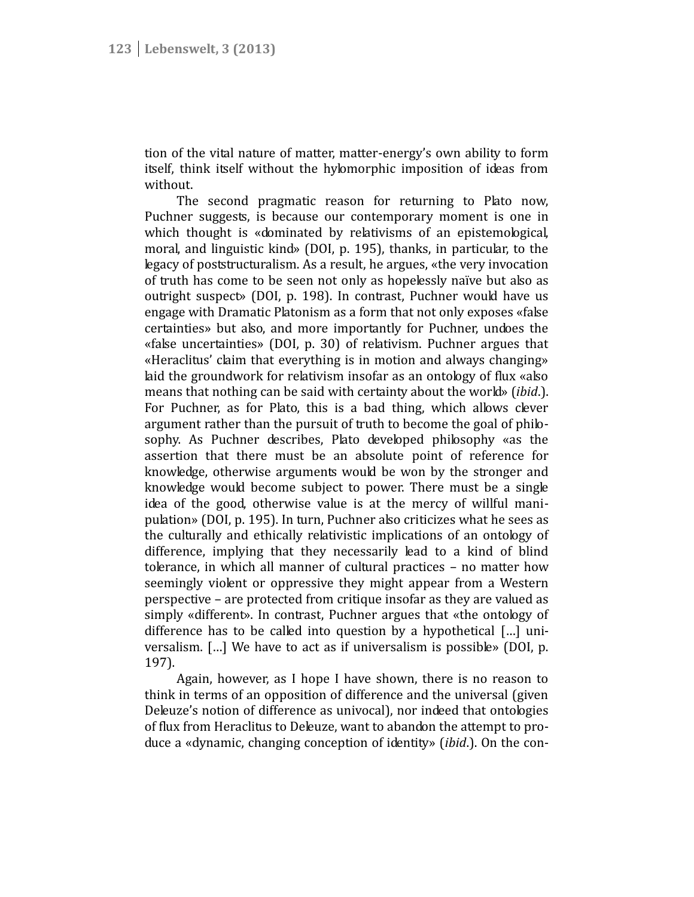tion of the vital nature of matter, matter-energy's own ability to form itself, think itself without the hylomorphic imposition of ideas from without.

The second pragmatic reason for returning to Plato now, Puchner suggests, is because our contemporary moment is one in which thought is «dominated by relativisms of an epistemological, moral, and linguistic kind» (DOI, p. 195), thanks, in particular, to the legacy of poststructuralism. As a result, he argues, «the very invocation of truth has come to be seen not only as hopelessly naïve but also as outright suspect» (DOI, p. 198). In contrast, Puchner would have us engage with Dramatic Platonism as a form that not only exposes «false certainties» but also, and more importantly for Puchner, undoes the «false uncertainties» (DOI, p. 30) of relativism. Puchner argues that «Heraclitus' claim that everything is in motion and always changing» laid the groundwork for relativism insofar as an ontology of flux «also means that nothing can be said with certainty about the world» (*ibid*.). For Puchner, as for Plato, this is a bad thing, which allows clever argument rather than the pursuit of truth to become the goal of philo sophy. As Puchner describes, Plato developed philosophy «as the assertion that there must be an absolute point of reference for knowledge, otherwise arguments would be won by the stronger and knowledge would become subject to power. There must be a single idea of the good, otherwise value is at the mercy of willful mani pulation» (DOI, p. 195). In turn, Puchner also criticizes what he sees as the culturally and ethically relativistic implications of an ontology of difference, implying that they necessarily lead to a kind of blind tolerance, in which all manner of cultural practices – no matter how seemingly violent or oppressive they might appear from a Western perspective – are protected from critique insofar as they are valued as simply «different». In contrast, Puchner argues that «the ontology of difference has to be called into question by a hypothetical […] uni versalism. [...] We have to act as if universalism is possible» (DOI, p. 197).

Again, however, as I hope I have shown, there is no reason to think in terms of an opposition of difference and the universal (given Deleuze's notion of difference as univocal), nor indeed that ontologies of flux from Heraclitus to Deleuze, want to abandon the attempt to pro duce a «dynamic, changing conception of identity» (*ibid*.). On the con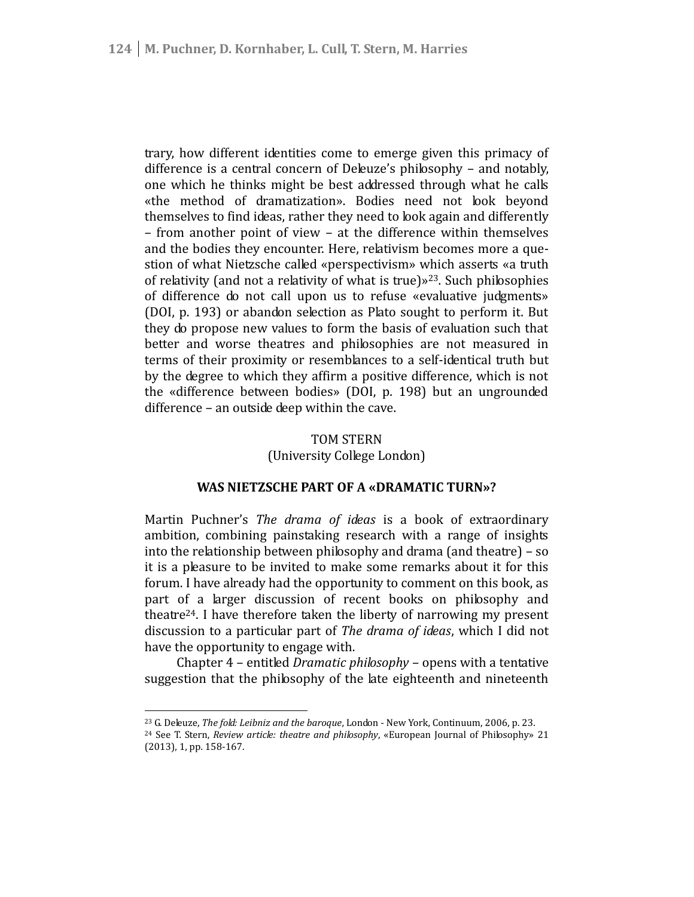trary, how different identities come to emerge given this primacy of difference is a central concern of Deleuze's philosophy – and notably, one which he thinks might be best addressed through what he calls «the method of dramatization». Bodies need not look beyond themselves to find ideas, rather they need to look again and differently – from another point of view – at the difference within themselves and the bodies they encounter. Here, relativism becomes more a que stion of what Nietzsche called «perspectivism» which asserts «a truth of relativity (and not a relativity of what is true) $\frac{1}{2}$ . Such philosophies of difference do not call upon us to refuse «evaluative judgments» (DOI, p. 193) or abandon selection as Plato sought to perform it. But they do propose new values to form the basis of evaluation such that better and worse theatres and philosophies are not measured in terms of their proximity or resemblances to a self-identical truth but by the degree to which they affirm a positive difference, which is not the «difference between bodies» (DOI, p. 198) but an ungrounded difference – an outside deep within the cave.

# TOM STERN

(University College London)

# **WAS NIETZSCHE PART OF A «DRAMATIC TURN»?**

Martin Puchner's *The drama of ideas* is a book of extraordinary ambition, combining painstaking research with a range of insights into the relationship between philosophy and drama (and theatre) – so it is a pleasure to be invited to make some remarks about it for this forum. I have already had the opportunity to comment on this book, as part of a larger discussion of recent books on philosophy and theatre<sup>24</sup>. I have therefore taken the liberty of narrowing my present discussion to a particular part of *The drama of ideas*, which I did not have the opportunity to engage with.

Chapter 4 – entitled *Dramatic philosophy* – opens with a tentative suggestion that the philosophy of the late eighteenth and nineteenth

<sup>23</sup> G. Deleuze, *The fold: Leibniz and the baroque*, London - New York, Continuum, 2006, p. 23.

<sup>24</sup> See T. Stern, *Review article: theatre and philosophy*, «European Journal of Philosophy» 21 (2013), 1, pp. 158-167.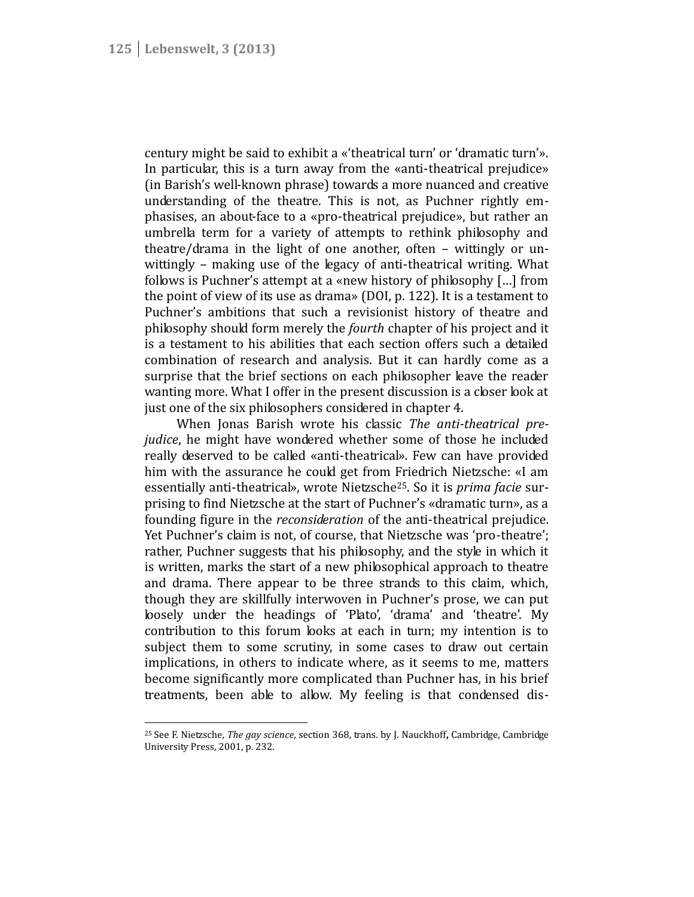century might be said to exhibit a «'theatrical turn' or 'dramatic turn'». In particular, this is a turn away from the «anti-theatrical prejudice» (in Barish's well-known phrase) towards a more nuanced and creative understanding of the theatre. This is not, as Puchner rightly em phasises, an about-face to a «pro-theatrical prejudice», but rather an umbrella term for a variety of attempts to rethink philosophy and theatre/drama in the light of one another, often – wittingly or un wittingly – making use of the legacy of anti-theatrical writing. What follows is Puchner's attempt at a «new history of philosophy […] from the point of view of its use as drama» (DOI, p. 122). It is a testament to Puchner's ambitions that such a revisionist history of theatre and philosophy should form merely the *fourth* chapter of his project and it is a testament to his abilities that each section offers such a detailed combination of research and analysis. But it can hardly come as a surprise that the brief sections on each philosopher leave the reader wanting more. What I offer in the present discussion is a closer look at just one of the six philosophers considered in chapter 4.

When Jonas Barish wrote his classic *The anti-theatrical prejudice*, he might have wondered whether some of those he included really deserved to be called «anti-theatrical». Few can have provided him with the assurance he could get from Friedrich Nietzsche: «I am essentially anti-theatrical», wrote Nietzsche<sup>25</sup>. So it is *prima facie* sur prising to find Nietzsche at the start of Puchner's «dramatic turn», as a founding figure in the *reconsideration* of the anti-theatrical prejudice. Yet Puchner's claim is not, of course, that Nietzsche was 'pro-theatre'; rather, Puchner suggests that his philosophy, and the style in which it is written, marks the start of a new philosophical approach to theatre and drama. There appear to be three strands to this claim, which, though they are skillfully interwoven in Puchner's prose, we can put loosely under the headings of 'Plato', 'drama' and 'theatre'. My contribution to this forum looks at each in turn; my intention is to subject them to some scrutiny, in some cases to draw out certain implications, in others to indicate where, as it seems to me, matters become significantly more complicated than Puchner has, in his brief treatments, been able to allow. My feeling is that condensed dis-

<sup>25</sup> See F. Nietzsche, *The gay science*, section 368, trans. by J. Nauckhoff**,** Cambridge, Cambridge University Press, 2001, p. 232.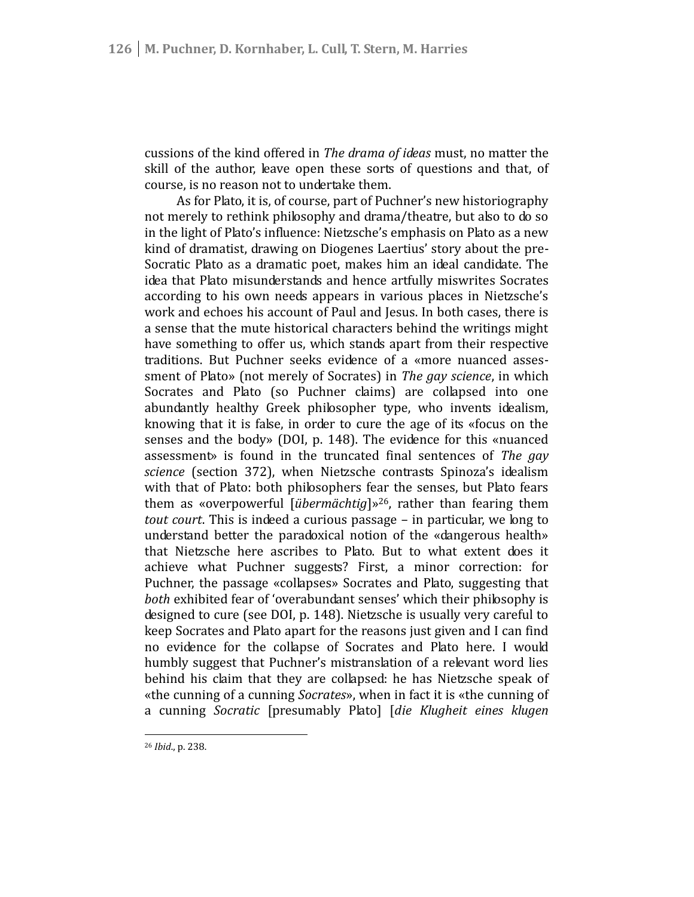cussions of the kind offered in *The drama of ideas* must, no matter the skill of the author, leave open these sorts of questions and that, of course, is no reason not to undertake them.

As for Plato, it is, of course, part of Puchner's new historiography not merely to rethink philosophy and drama/theatre, but also to do so in the light of Plato's influence: Nietzsche's emphasis on Plato as a new kind of dramatist, drawing on Diogenes Laertius' story about the pre- Socratic Plato as a dramatic poet, makes him an ideal candidate. The idea that Plato misunderstands and hence artfully miswrites Socrates according to his own needs appears in various places in Nietzsche's work and echoes his account of Paul and Jesus. In both cases, there is a sense that the mute historical characters behind the writings might have something to offer us, which stands apart from their respective traditions. But Puchner seeks evidence of a «more nuanced asses sment of Plato» (not merely of Socrates) in *The gay science*, in which Socrates and Plato (so Puchner claims) are collapsed into one abundantly healthy Greek philosopher type, who invents idealism, knowing that it is false, in order to cure the age of its «focus on the senses and the body» (DOI, p. 148). The evidence for this «nuanced assessment» is found in the truncated final sentences of *The gay science* (section 372), when Nietzsche contrasts Spinoza's idealism with that of Plato: both philosophers fear the senses, but Plato fears them as «overpowerful [*übermächtig*]»<sup>26</sup>, rather than fearing them *tout court*. This is indeed a curious passage – in particular, we long to understand better the paradoxical notion of the «dangerous health» that Nietzsche here ascribes to Plato. But to what extent does it achieve what Puchner suggests? First, a minor correction: for Puchner, the passage «collapses» Socrates and Plato, suggesting that *both* exhibited fear of 'overabundant senses' which their philosophy is designed to cure (see DOI, p. 148). Nietzsche is usually very careful to keep Socrates and Plato apart for the reasons just given and I can find no evidence for the collapse of Socrates and Plato here. I would humbly suggest that Puchner's mistranslation of a relevant word lies behind his claim that they are collapsed: he has Nietzsche speak of «the cunning of a cunning *Socrates*», when in fact it is «the cunning of a cunning *Socratic* [presumably Plato] [*die Klugheit eines klugen*

<sup>26</sup> *Ibid*., p. 238.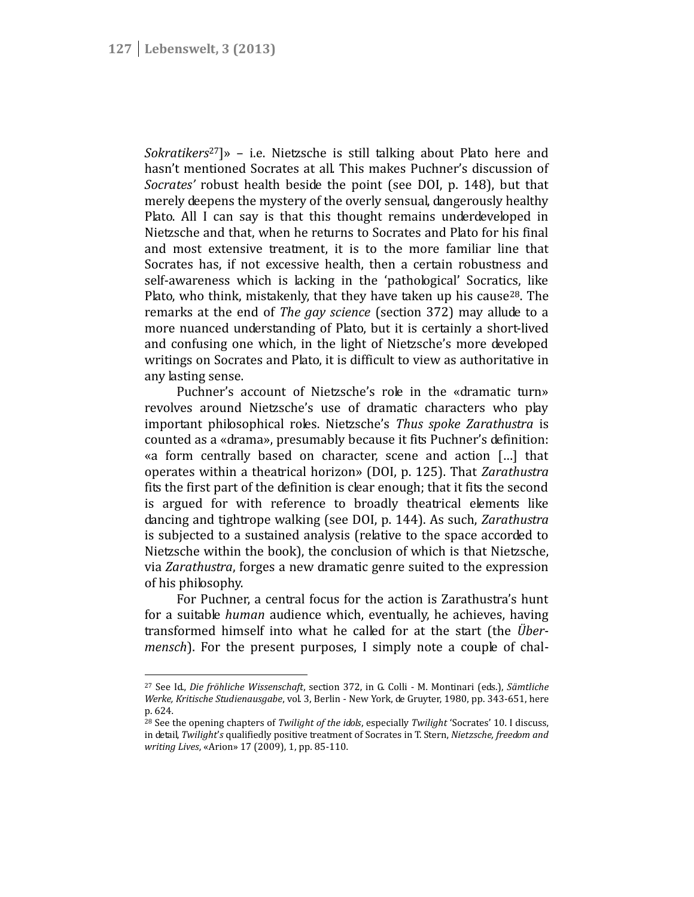*Sokratikers*<sup>27</sup>]» – i.e. Nietzsche is still talking about Plato here and hasn't mentioned Socrates at all. This makes Puchner's discussion of *Socrates'* robust health beside the point (see DOI, p. 148), but that merely deepens the mystery of the overly sensual, dangerously healthy Plato. All I can say is that this thought remains underdeveloped in Nietzsche and that, when he returns to Socrates and Plato for his final and most extensive treatment, it is to the more familiar line that Socrates has, if not excessive health, then a certain robustness and self-awareness which is lacking in the 'pathological' Socratics, like Plato, who think, mistakenly, that they have taken up his cause<sup>28</sup>. The remarks at the end of *The gay science* (section 372) may allude to a more nuanced understanding of Plato, but it is certainly a short-lived and confusing one which, in the light of Nietzsche's more developed writings on Socrates and Plato, it is difficult to view as authoritative in any lasting sense.

Puchner's account of Nietzsche's role in the «dramatic turn» revolves around Nietzsche's use of dramatic characters who play important philosophical roles. Nietzsche's *Thus spoke Zarathustra* is counted as a «drama», presumably because it fits Puchner's definition: «a form centrally based on character, scene and action […] that operates within a theatrical horizon» (DOI, p. 125). That *Zarathustra* fits the first part of the definition is clear enough; that it fits the second is argued for with reference to broadly theatrical elements like dancing and tightrope walking (see DOI, p. 144). As such, *Zarathustra* is subjected to a sustained analysis (relative to the space accorded to Nietzsche within the book), the conclusion of which is that Nietzsche, via *Zarathustra*, forges a new dramatic genre suited to the expression of his philosophy.

For Puchner, a central focus for the action is Zarathustra's hunt for a suitable *human* audience which, eventually, he achieves, having transformed himself into what he called for at the start (the *Über*mensch). For the present purposes, I simply note a couple of chal-

<sup>27</sup> See Id., *Die fröhliche Wissenschaft*, section 372, in G. Colli - M. Montinari (eds.), *Sämtliche Werke, Kritische Studienausgabe*, vol. 3, Berlin - New York, de Gruyter, 1980, pp. 343-651, here p. 624.

<sup>28</sup> See the opening chapters of *Twilight of the idols*, especially *Twilight* 'Socrates' 10. I discuss, in detail, *Twilight*'*s* qualifiedly positive treatment of Socrates in T. Stern, *Nietzsche, freedom and writing Lives*, «Arion» 17 (2009), 1, pp. 85-110.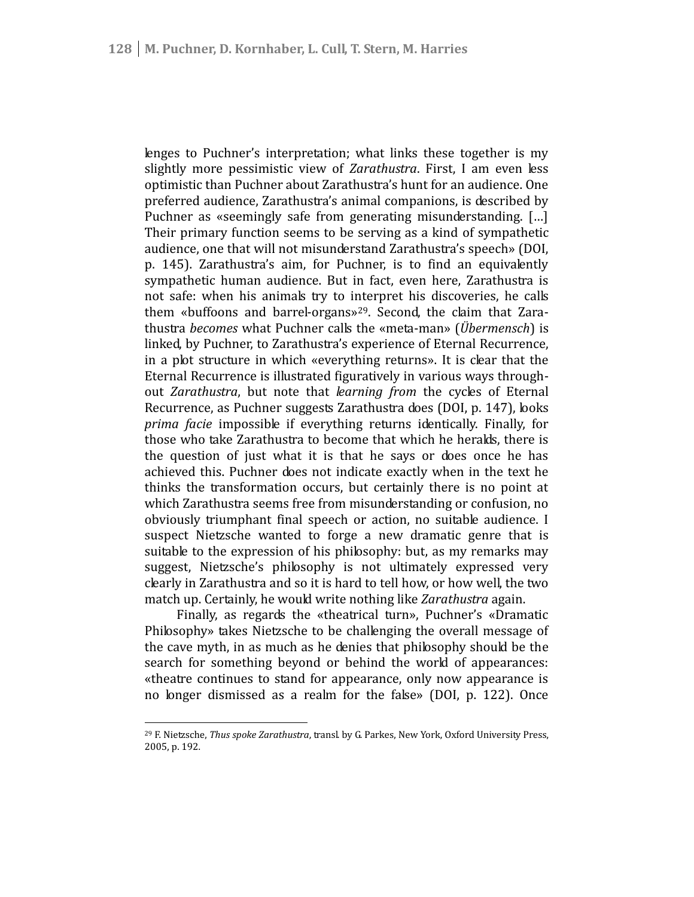lenges to Puchner's interpretation; what links these together is my slightly more pessimistic view of *Zarathustra*. First, I am even less optimistic than Puchner about Zarathustra's hunt for an audience. One preferred audience, Zarathustra's animal companions, is described by Puchner as «seemingly safe from generating misunderstanding. […] Their primary function seems to be serving as a kind of sympathetic audience, one that will not misunderstand Zarathustra's speech» (DOI, p. 145). Zarathustra's aim, for Puchner, is to find an equivalently sympathetic human audience. But in fact, even here, Zarathustra is not safe: when his animals try to interpret his discoveries, he calls them «buffoons and barrel-organs»<sup>29</sup>. Second, the claim that Zara thustra *becomes* what Puchner calls the «meta-man» (*Übermensch*) is linked, by Puchner, to Zarathustra's experience of Eternal Recurrence, in a plot structure in which «everything returns». It is clear that the Eternal Recurrence is illustrated figuratively in various ways through out *Zarathustra*, but note that *learning from* the cycles of Eternal Recurrence, as Puchner suggests Zarathustra does (DOI, p. 147), looks *prima facie* impossible if everything returns identically. Finally, for those who take Zarathustra to become that which he heralds, there is the question of just what it is that he says or does once he has achieved this. Puchner does not indicate exactly when in the text he thinks the transformation occurs, but certainly there is no point at which Zarathustra seems free from misunderstanding or confusion, no obviously triumphant final speech or action, no suitable audience. I suspect Nietzsche wanted to forge a new dramatic genre that is suitable to the expression of his philosophy: but, as my remarks may suggest, Nietzsche's philosophy is not ultimately expressed very clearly in Zarathustra and so it is hard to tell how, or how well, the two match up. Certainly, he would write nothing like *Zarathustra* again.

Finally, as regards the «theatrical turn», Puchner's «Dramatic Philosophy» takes Nietzsche to be challenging the overall message of the cave myth, in as much as he denies that philosophy should be the search for something beyond or behind the world of appearances: «theatre continues to stand for appearance, only now appearance is no longer dismissed as a realm for the false» (DOI, p. 122). Once

<sup>29</sup> F. Nietzsche, *Thus spoke Zarathustra*, transl. by G. Parkes, New York, Oxford University Press, 2005, p. 192.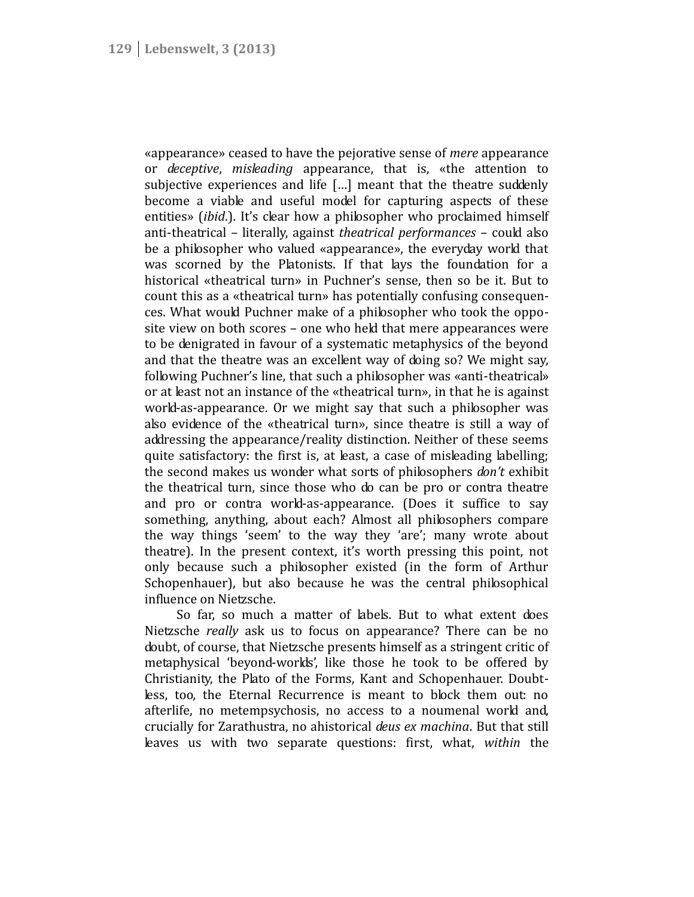«appearance» ceased to have the pejorative sense of *mere* appearance or *deceptive*, *misleading* appearance, that is, «the attention to subjective experiences and life […] meant that the theatre suddenly become a viable and useful model for capturing aspects of these entities» *(ibid.)*. It's clear how a philosopher who proclaimed himself anti-theatrical – literally, against *theatrical performances* – could also be a philosopher who valued «appearance», the everyday world that was scorned by the Platonists. If that lays the foundation for a historical «theatrical turn» in Puchner's sense, then so be it. But to count this as a «theatrical turn» has potentially confusing consequen ces. What would Puchner make of a philosopher who took the oppo site view on both scores – one who held that mere appearances were to be denigrated in favour of a systematic metaphysics of the beyond and that the theatre was an excellent way of doing so? We might say, following Puchner's line, that such a philosopher was «anti-theatrical» or at least not an instance of the «theatrical turn», in that he is against world-as-appearance. Or we might say that such a philosopher was also evidence of the «theatrical turn», since theatre is still a way of addressing the appearance/reality distinction. Neither of these seems quite satisfactory: the first is, at least, a case of misleading labelling; the second makes us wonder what sorts of philosophers *don't* exhibit the theatrical turn, since those who do can be pro or contra theatre and pro or contra world-as-appearance. (Does it suffice to say something, anything, about each? Almost all philosophers compare the way things 'seem' to the way they 'are'; many wrote about theatre). In the present context, it's worth pressing this point, not only because such a philosopher existed (in the form of Arthur Schopenhauer), but also because he was the central philosophical influence on Nietzsche.

So far, so much a matter of labels. But to what extent does Nietzsche *really* ask us to focus on appearance? There can be no doubt, of course, that Nietzsche presents himself as a stringent critic of metaphysical 'beyond-worlds', like those he took to be offered by Christianity, the Plato of the Forms, Kant and Schopenhauer. Doubtless, too, the Eternal Recurrence is meant to block them out: no afterlife, no metempsychosis, no access to a noumenal world and, crucially for Zarathustra, no ahistorical *deus ex machina*. But that still leaves us with two separate questions: first, what, *within* the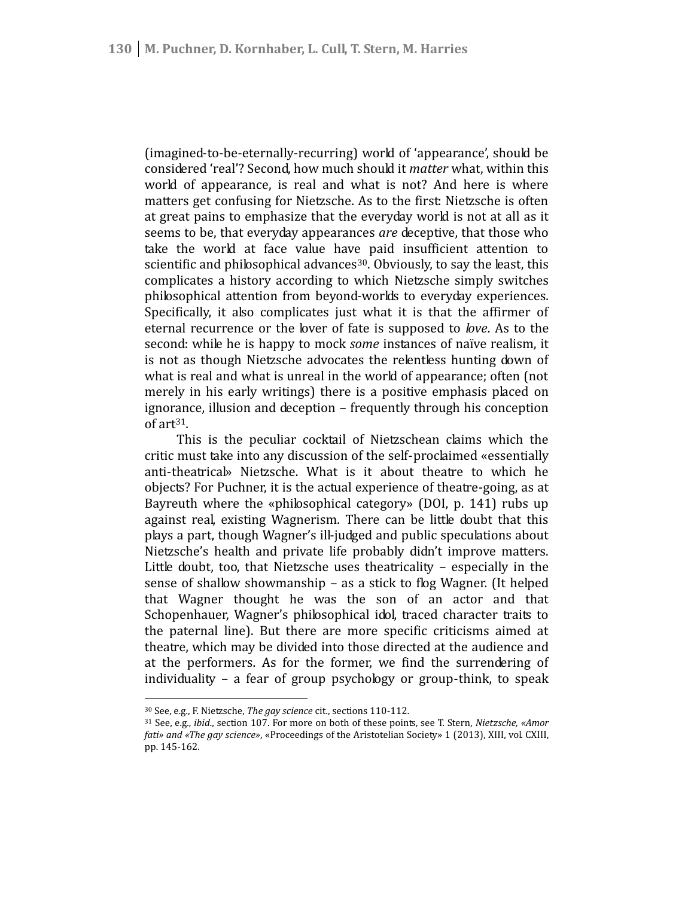(imagined-to-be-eternally-recurring) world of 'appearance', should be considered 'real'? Second, how much should it *matter* what, within this world of appearance, is real and what is not? And here is where matters get confusing for Nietzsche. As to the first: Nietzsche is often at great pains to emphasize that the everyday world is not at all as it seems to be, that everyday appearances *are* deceptive, that those who take the world at face value have paid insufficient attention to scientific and philosophical advances<sup>30</sup>. Obviously, to say the least, this complicates a history according to which Nietzsche simply switches philosophical attention from beyond-worlds to everyday experiences. Specifically, it also complicates just what it is that the affirmer of eternal recurrence or the lover of fate is supposed to *love*. As to the second: while he is happy to mock *some* instances of naïve realism, it is not as though Nietzsche advocates the relentless hunting down of what is real and what is unreal in the world of appearance; often (not merely in his early writings) there is a positive emphasis placed on ignorance, illusion and deception – frequently through his conception of art<sup>31</sup>.

This is the peculiar cocktail of Nietzschean claims which the critic must take into any discussion of the self-proclaimed «essentially anti-theatrical» Nietzsche. What is it about theatre to which he objects? For Puchner, it is the actual experience of theatre-going, as at Bayreuth where the «philosophical category» (DOI, p. 141) rubs up against real, existing Wagnerism. There can be little doubt that this plays a part, though Wagner's ill-judged and public speculations about Nietzsche's health and private life probably didn't improve matters. Little doubt, too, that Nietzsche uses theatricality – especially in the sense of shallow showmanship – as a stick to flog Wagner. (It helped that Wagner thought he was the son of an actor and that Schopenhauer, Wagner's philosophical idol, traced character traits to the paternal line). But there are more specific criticisms aimed at theatre, which may be divided into those directed at the audience and at the performers. As for the former, we find the surrendering of individuality – a fear of group psychology or group-think, to speak

<sup>30</sup> See, e.g., F. Nietzsche, *The gay science* cit., sections 110-112.

<sup>31</sup> See, e.g., *ibid*., section 107. For more on both of these points, see T. Stern, *Nietzsche, «Amor fati» and «The gay science»*, «Proceedings of the Aristotelian Society» 1 (2013), XIII, vol. CXIII, pp. 145-162.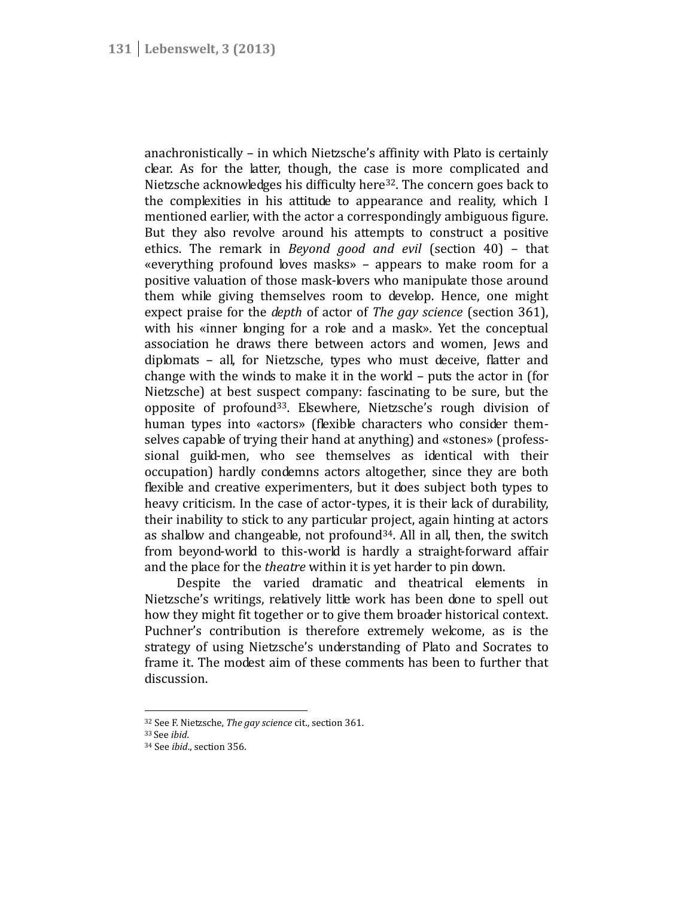anachronistically – in which Nietzsche's affinity with Plato is certainly clear. As for the latter, though, the case is more complicated and Nietzsche acknowledges his difficulty here<sup>32</sup>. The concern goes back to the complexities in his attitude to appearance and reality, which I mentioned earlier, with the actor a correspondingly ambiguous figure. But they also revolve around his attempts to construct a positive ethics. The remark in *Beyond good and evil* (section 40) – that «everything profound loves masks» – appears to make room for a positive valuation of those mask-lovers who manipulate those around them while giving themselves room to develop. Hence, one might expect praise for the *depth* of actor of *The gay science* (section 361), with his «inner longing for a role and a mask». Yet the conceptual association he draws there between actors and women, Jews and diplomats – all, for Nietzsche, types who must deceive, flatter and change with the winds to make it in the world – puts the actor in (for Nietzsche) at best suspect company: fascinating to be sure, but the opposite of profound<sup>33</sup>. Elsewhere, Nietzsche's rough division of human types into «actors» (flexible characters who consider them selves capable of trying their hand at anything) and «stones» (profess sional guild-men, who see themselves as identical with their occupation) hardly condemns actors altogether, since they are both flexible and creative experimenters, but it does subject both types to heavy criticism. In the case of actor-types, it is their lack of durability, their inability to stick to any particular project, again hinting at actors as shallow and changeable, not profound<sup>34</sup>. All in all, then, the switch from beyond-world to this-world is hardly a straight-forward affair and the place for the *theatre* within it is yet harder to pin down.

Despite the varied dramatic and theatrical elements in Nietzsche's writings, relatively little work has been done to spell out how they might fit together or to give them broader historical context. Puchner's contribution is therefore extremely welcome, as is the strategy of using Nietzsche's understanding of Plato and Socrates to frame it. The modest aim of these comments has been to further that discussion.

<sup>32</sup> See F. Nietzsche, *The gay science* cit., section 361.

<sup>33</sup> See *ibid*.

<sup>34</sup> See *ibid*., section 356.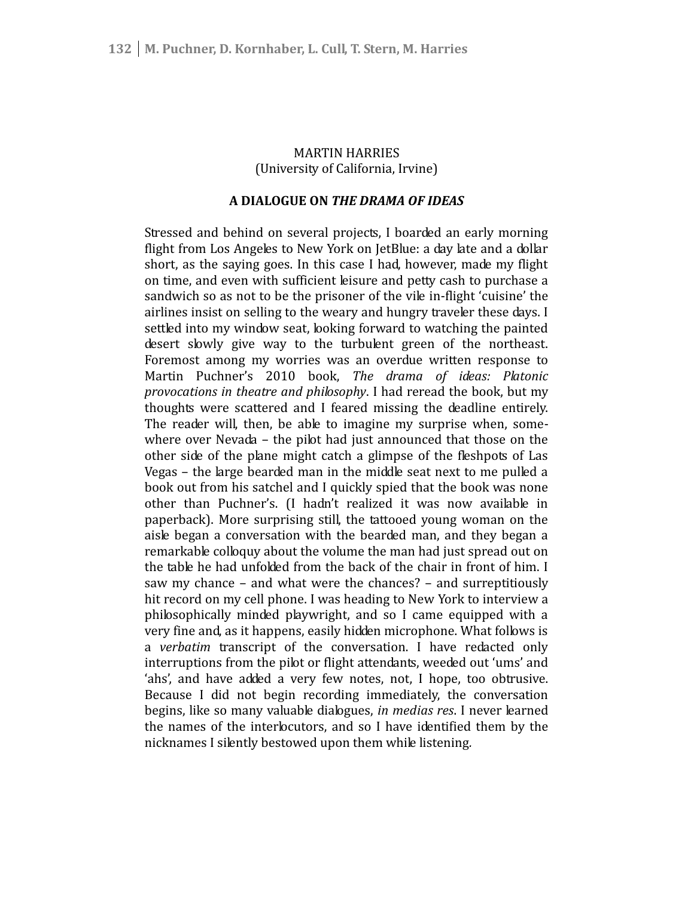# MARTIN HARRIES (University of California, Irvine)

# **A DIALOGUE ON** *THE DRAMA OF IDEAS*

Stressed and behind on several projects, I boarded an early morning flight from Los Angeles to New York on JetBlue: a day late and a dollar short, as the saying goes. In this case I had, however, made my flight on time, and even with sufficient leisure and petty cash to purchase a sandwich so as not to be the prisoner of the vile in-flight 'cuisine' the airlines insist on selling to the weary and hungry traveler these days. I settled into my window seat, looking forward to watching the painted desert slowly give way to the turbulent green of the northeast. Foremost among my worries was an overdue written response to Martin Puchner's 2010 book, *The drama of ideas: Platonic provocations in theatre and philosophy*. I had reread the book, but my thoughts were scattered and I feared missing the deadline entirely. The reader will, then, be able to imagine my surprise when, somewhere over Nevada – the pilot had just announced that those on the other side of the plane might catch a glimpse of the fleshpots of Las Vegas – the large bearded man in the middle seat next to me pulled a book out from his satchel and I quickly spied that the book was none other than Puchner's. (I hadn't realized it was now available in paperback). More surprising still, the tattooed young woman on the aisle began a conversation with the bearded man, and they began a remarkable colloquy about the volume the man had just spread out on the table he had unfolded from the back of the chair in front of him. I saw my chance – and what were the chances? – and surreptitiously hit record on my cell phone. I was heading to New York to interview a philosophically minded playwright, and so I came equipped with a very fine and, as it happens, easily hidden microphone. What follows is a *verbatim* transcript of the conversation. I have redacted only interruptions from the pilot or flight attendants, weeded out 'ums' and 'ahs', and have added a very few notes, not, I hope, too obtrusive. Because I did not begin recording immediately, the conversation begins, like so many valuable dialogues, *in medias res*. I never learned the names of the interlocutors, and so I have identified them by the nicknames I silently bestowed upon them while listening*.*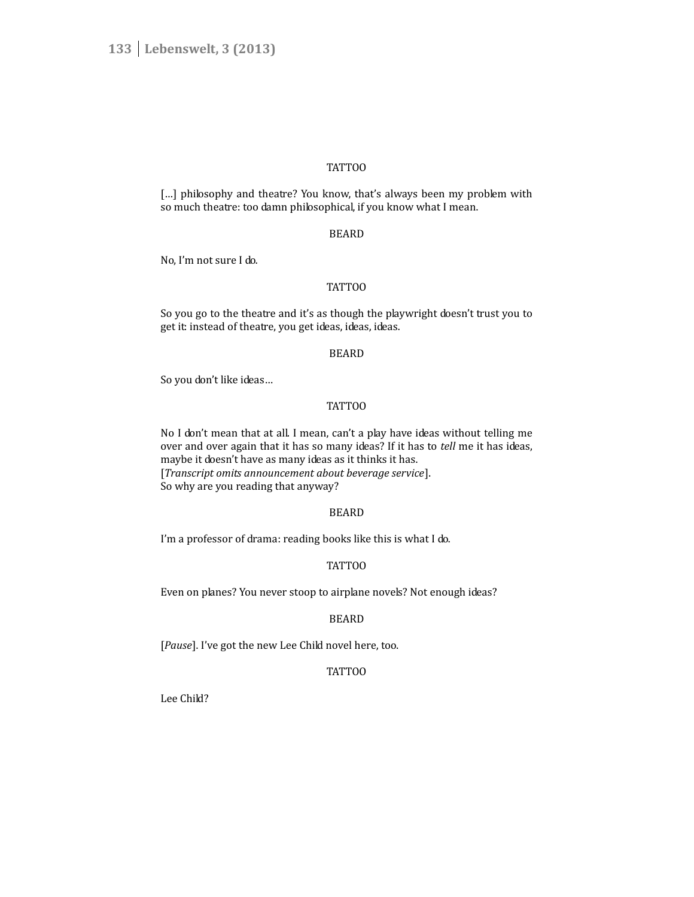# TATTOO

[...] philosophy and theatre? You know, that's always been my problem with so much theatre: too damn philosophical, if you know what I mean.

## BEARD

No, I'm not sure I do.

# TATTOO

So you go to the theatre and it's as though the playwright doesn't trust you to get it: instead of theatre, you get ideas, ideas, ideas.

#### BEARD

So you don't like ideas…

# TATTOO

No I don't mean that at all. I mean, can't a play have ideas without telling me over and over again that it has so many ideas? If it has to *tell* me it has ideas, maybe it doesn't have as many ideas as it thinks it has. [*Transcript omits announcement about beverage service*]. So why are you reading that anyway?

#### BEARD

I'm a professor of drama: reading books like this is what I do.

### TATTOO

Even on planes? You never stoop to airplane novels? Not enough ideas?

# BEARD

[*Pause*]. I've got the new Lee Child novel here, too.

# TATTOO

Lee Child?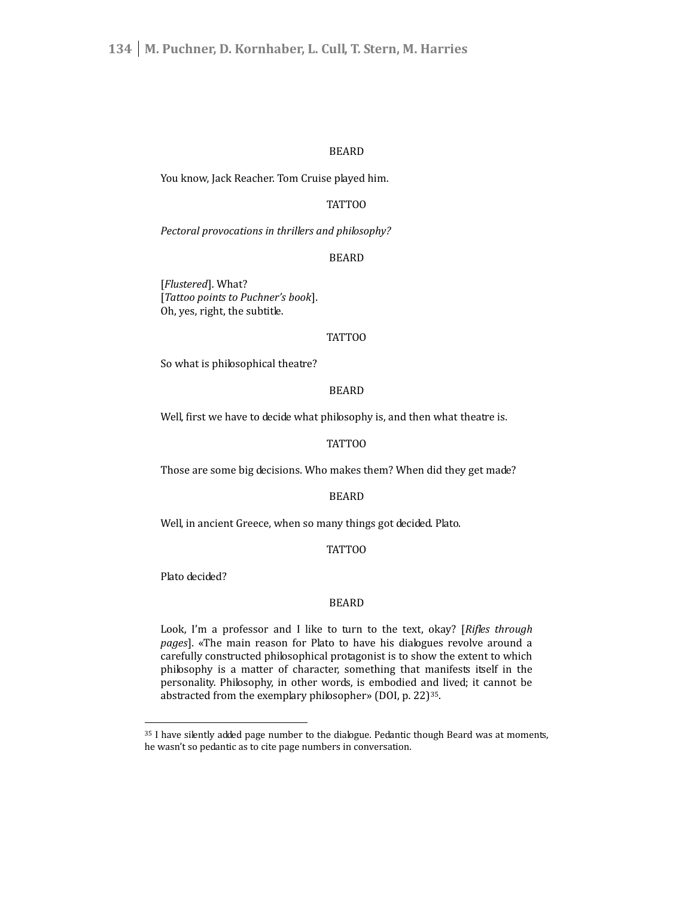# BEARD

You know, Jack Reacher. Tom Cruise played him.

# TATTOO

*Pectoral provocations in thrillers and philosophy?*

# BEARD

[*Flustered*]. What? [*Tattoo points to Puchner's book*]. Oh, yes, right, the subtitle.

#### TATTOO

So what is philosophical theatre?

# BEARD

Well, first we have to decide what philosophy is, and then what theatre is.

## TATTOO

Those are some big decisions. Who makes them? When did they get made?

#### BEARD

Well, in ancient Greece, when so many things got decided. Plato.

#### TATTOO

Plato decided?

#### BEARD

Look, I'm a professor and I like to turn to the text, okay? [*Rifles through pages*]. «The main reason for Plato to have his dialogues revolve around a carefully constructed philosophical protagonist is to show the extent to which philosophy is a matter of character, something that manifests itself in the personality. Philosophy, in other words, is embodied and lived; it cannot be abstracted from the exemplary philosopher» (DOI, p. 22)<sup>35</sup>.

<sup>&</sup>lt;sup>35</sup> I have silently added page number to the dialogue. Pedantic though Beard was at moments, he wasn't so pedantic as to cite page numbers in conversation.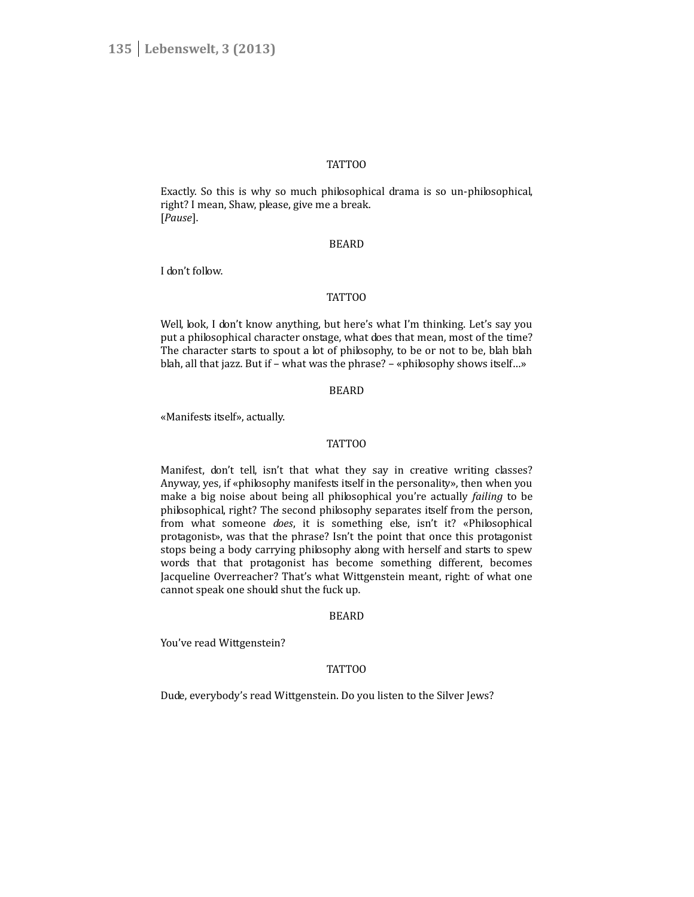#### TATTOO

Exactly. So this is why so much philosophical drama is so un-philosophical, right? I mean, Shaw, please, give me a break. [*Pause*].

#### BEARD

I don't follow.

## TATTOO

Well, look, I don't know anything, but here's what I'm thinking. Let's say you put a philosophical character onstage, what does that mean, most of the time? The character starts to spout a lot of philosophy, to be or not to be, blah blah blah, all that jazz. But if – what was the phrase? – «philosophy shows itself…»

#### BEARD

«Manifests itself», actually.

# TATTOO

Manifest, don't tell, isn't that what they say in creative writing classes? Anyway, yes, if «philosophy manifests itself in the personality», then when you make a big noise about being all philosophical you're actually *failing* to be philosophical, right? The second philosophy separates itself from the person, from what someone *does*, it is something else, isn't it? «Philosophical protagonist», was that the phrase? Isn't the point that once this protagonist stops being a body carrying philosophy along with herself and starts to spew words that that protagonist has become something different, becomes Jacqueline Overreacher? That's what Wittgenstein meant, right: of what one cannot speak one should shut the fuck up.

#### BEARD

You've read Wittgenstein?

#### TATTOO

Dude, everybody's read Wittgenstein. Do you listen to the Silver Jews?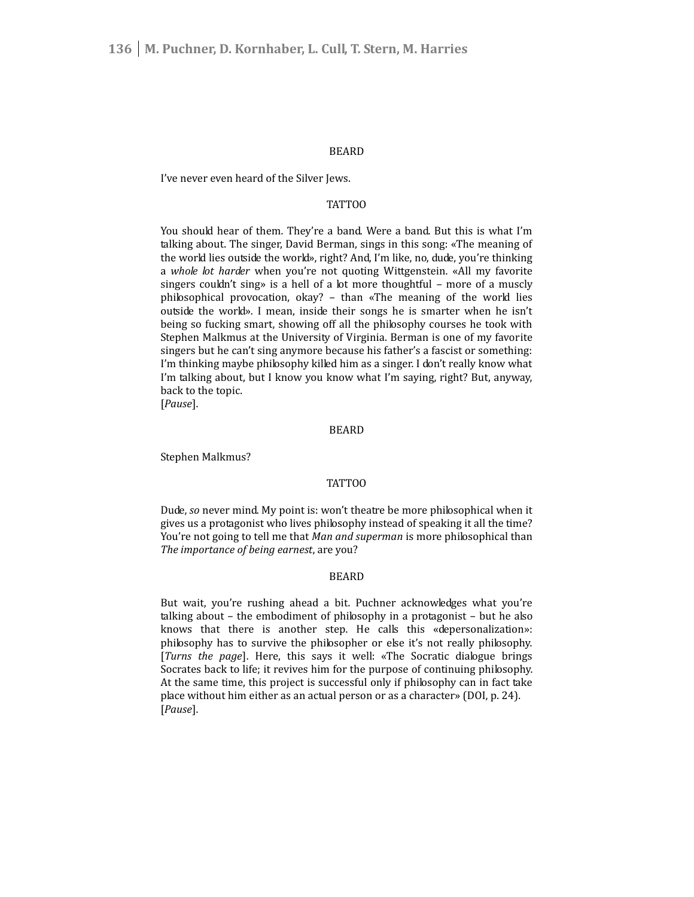#### BEARD

I've never even heard of the Silver Jews.

# **TATTOO**

You should hear of them. They're a band. Were a band. But this is what I'm talking about. The singer, David Berman, sings in this song: «The meaning of the world lies outside the world», right? And, I'm like, no, dude, you're thinking a *whole lot harder* when you're not quoting Wittgenstein. «All my favorite singers couldn't sing» is a hell of a lot more thoughtful – more of a muscly philosophical provocation, okay? – than «The meaning of the world lies outside the world». I mean, inside their songs he is smarter when he isn't being so fucking smart, showing off all the philosophy courses he took with Stephen Malkmus at the University of Virginia. Berman is one of my favorite singers but he can't sing anymore because his father's a fascist or something: I'm thinking maybe philosophy killed him as a singer. I don't really know what I'm talking about, but I know you know what I'm saying, right? But, anyway, back to the topic.

[*Pause*].

#### BEARD

Stephen Malkmus?

#### TATTOO

Dude, *so* never mind. My point is: won't theatre be more philosophical when it gives us a protagonist who lives philosophy instead of speaking it all the time? You're not going to tell me that *Man and superman* is more philosophical than *The importance of being earnest*, are you?

#### BEARD

But wait, you're rushing ahead a bit. Puchner acknowledges what you're talking about – the embodiment of philosophy in a protagonist – but he also knows that there is another step. He calls this «depersonalization»: philosophy has to survive the philosopher or else it's not really philosophy. [*Turns the page*]. Here, this says it well: «The Socratic dialogue brings Socrates back to life; it revives him for the purpose of continuing philosophy. At the same time, this project is successful only if philosophy can in fact take place without him either as an actual person or as a character» (DOI, p. 24). [*Pause*].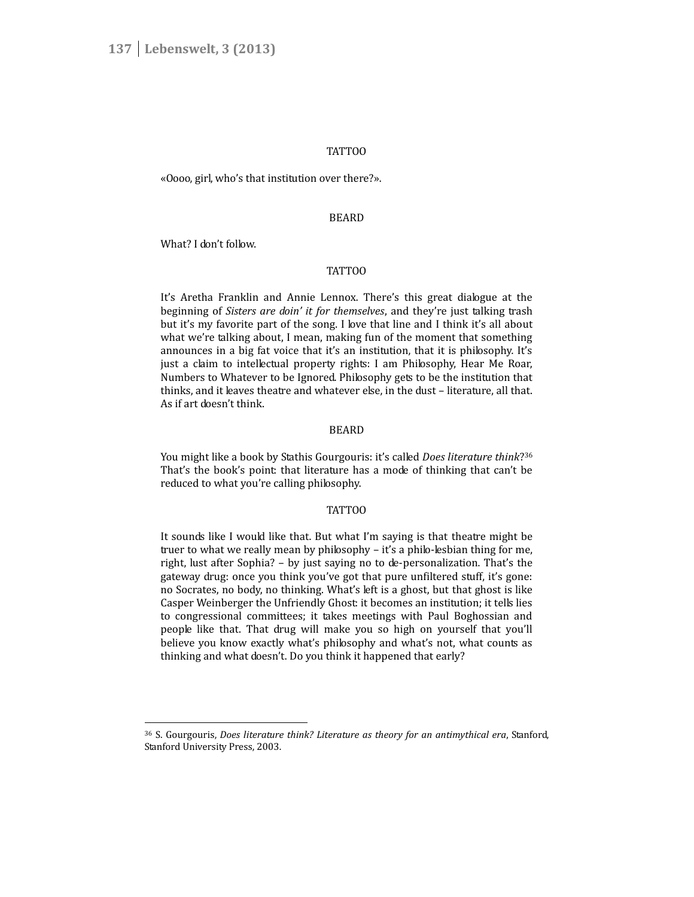#### TATTOO

«Oooo, girl, who's that institution over there?».

#### BEARD

What? I don't follow.

#### TATTOO

It's Aretha Franklin and Annie Lennox. There's this great dialogue at the beginning of *Sisters are doin' it for themselves*, and they're just talking trash but it's my favorite part of the song. I love that line and I think it's all about what we're talking about, I mean, making fun of the moment that something announces in a big fat voice that it's an institution, that it is philosophy. It's just a claim to intellectual property rights: I am Philosophy, Hear Me Roar, Numbers to Whatever to be Ignored. Philosophy gets to be the institution that thinks, and it leaves theatre and whatever else, in the dust – literature, all that. As if art doesn't think.

#### BEARD

You might like a book by Stathis Gourgouris: it's called *Does literature think*? 36 That's the book's point: that literature has a mode of thinking that can't be reduced to what you're calling philosophy.

### TATTOO

It sounds like I would like that. But what I'm saying is that theatre might be truer to what we really mean by philosophy – it's a philo-lesbian thing for me, right, lust after Sophia? – by just saying no to de-personalization. That's the gateway drug: once you think you've got that pure unfiltered stuff, it's gone: no Socrates, no body, no thinking. What's left is a ghost, but that ghost is like Casper Weinberger the Unfriendly Ghost: it becomes an institution; it tells lies to congressional committees; it takes meetings with Paul Boghossian and people like that. That drug will make you so high on yourself that you'll believe you know exactly what's philosophy and what's not, what counts as thinking and what doesn't. Do you think it happened that early?

<sup>36</sup> S. Gourgouris, *Does literature think? Literature as theory for an antimythical era*, Stanford, Stanford University Press, 2003.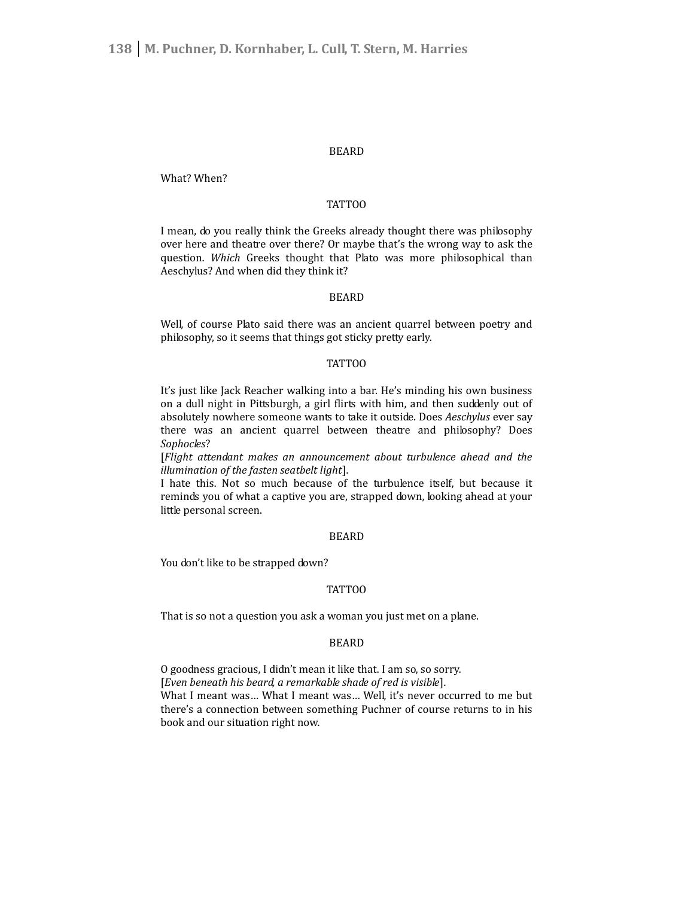#### BEARD

What? When?

# TATTOO

I mean, do you really think the Greeks already thought there was philosophy over here and theatre over there? Or maybe that's the wrong way to ask the question. *Which* Greeks thought that Plato was more philosophical than Aeschylus? And when did they think it?

## BEARD

Well, of course Plato said there was an ancient quarrel between poetry and philosophy, so it seems that things got sticky pretty early.

#### TATTOO

It's just like Jack Reacher walking into a bar. He's minding his own business on a dull night in Pittsburgh, a girl flirts with him, and then suddenly out of absolutely nowhere someone wants to take it outside. Does *Aeschylus* ever say there was an ancient quarrel between theatre and philosophy? Does *Sophocles*?

[*Flight attendant makes an announcement about turbulence ahead and the illumination of the fasten seatbelt light*].

I hate this. Not so much because of the turbulence itself, but because it reminds you of what a captive you are, strapped down, looking ahead at your little personal screen.

#### BEARD

You don't like to be strapped down?

#### TATTOO

That is so not a question you ask a woman you just met on a plane.

# BEARD

O goodness gracious, I didn't mean it like that. I am so, so sorry. [*Even beneath his beard, a remarkable shade of red is visible*]. What I meant was… What I meant was… Well, it's never occurred to me but there's a connection between something Puchner of course returns to in his book and our situation right now.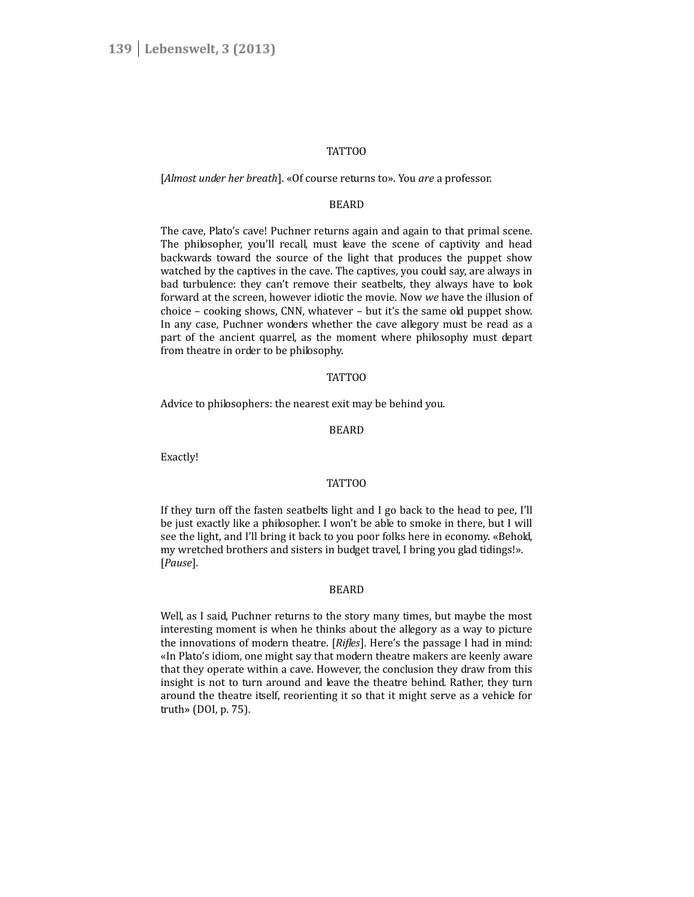#### TATTOO

#### [*Almost under her breath*]. «Of course returns to». You *are* a professor.

## **BEARD**

The cave, Plato's cave! Puchner returns again and again to that primal scene. The philosopher, you'll recall, must leave the scene of captivity and head backwards toward the source of the light that produces the puppet show watched by the captives in the cave. The captives, you could say, are always in bad turbulence: they can't remove their seatbelts, they always have to look forward at the screen, however idiotic the movie. Now *we* have the illusion of choice – cooking shows, CNN, whatever – but it's the same old puppet show. In any case, Puchner wonders whether the cave allegory must be read as a part of the ancient quarrel, as the moment where philosophy must depart from theatre in order to be philosophy.

#### TATTOO

Advice to philosophers: the nearest exit may be behind you.

#### BEARD

Exactly!

#### TATTOO

If they turn off the fasten seatbelts light and I go back to the head to pee, I'll be just exactly like a philosopher. I won't be able to smoke in there, but I will see the light, and I'll bring it back to you poor folks here in economy. «Behold, my wretched brothers and sisters in budget travel, I bring you glad tidings!». [*Pause*].

#### BEARD

Well, as I said, Puchner returns to the story many times, but maybe the most interesting moment is when he thinks about the allegory as a way to picture the innovations of modern theatre. [*Rifles*]. Here's the passage I had in mind: «In Plato's idiom, one might say that modern theatre makers are keenly aware that they operate within a cave. However, the conclusion they draw from this insight is not to turn around and leave the theatre behind. Rather, they turn around the theatre itself, reorienting it so that it might serve as a vehicle for truth» (DOI, p. 75).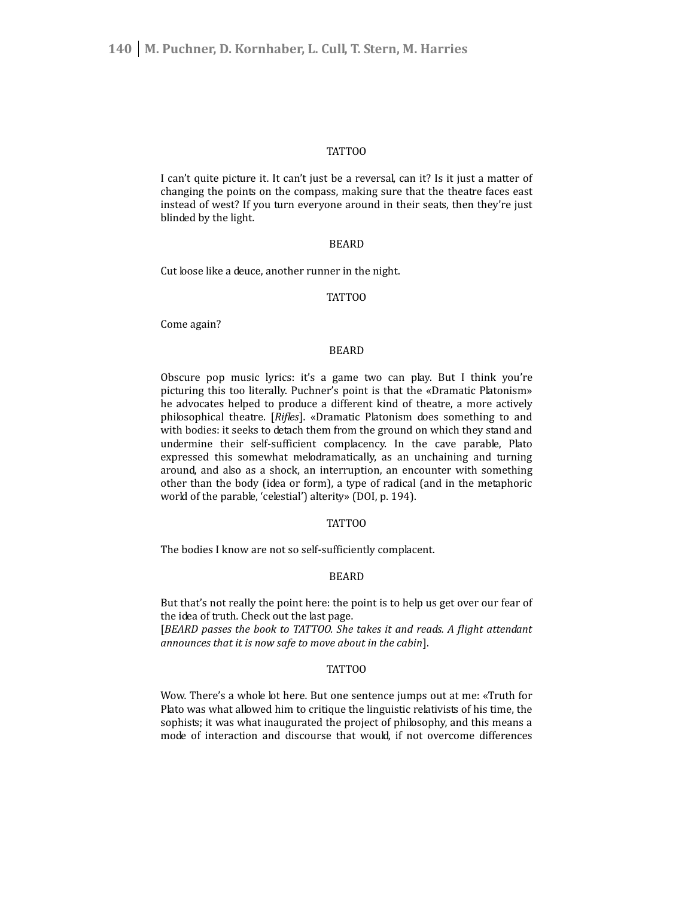#### TATTOO

I can't quite picture it. It can't just be a reversal, can it? Is it just a matter of changing the points on the compass, making sure that the theatre faces east instead of west? If you turn everyone around in their seats, then they're just blinded by the light.

### BEARD

Cut loose like a deuce, another runner in the night.

# TATTOO

Come again?

# BEARD

Obscure pop music lyrics: it's a game two can play. But I think you're picturing this too literally. Puchner's point is that the «Dramatic Platonism» he advocates helped to produce a different kind of theatre, a more actively philosophical theatre. [*Rifles*]. «Dramatic Platonism does something to and with bodies: it seeks to detach them from the ground on which they stand and undermine their self-sufficient complacency. In the cave parable, Plato expressed this somewhat melodramatically, as an unchaining and turning around, and also as a shock, an interruption, an encounter with something other than the body (idea or form), a type of radical (and in the metaphoric world of the parable, 'celestial') alterity» (DOI, p. 194).

# TATTOO

The bodies I know are not so self-sufficiently complacent.

#### BEARD

But that's not really the point here: the point is to help us get over our fear of the idea of truth. Check out the last page. [*BEARD passes the book to TATTOO. She takes it and reads. A flight attendant announces that it is now safe to move about in the cabin*].

#### TATTOO

Wow. There's a whole lot here. But one sentence jumps out at me: «Truth for Plato was what allowed him to critique the linguistic relativists of his time, the sophists; it was what inaugurated the project of philosophy, and this means a mode of interaction and discourse that would, if not overcome differences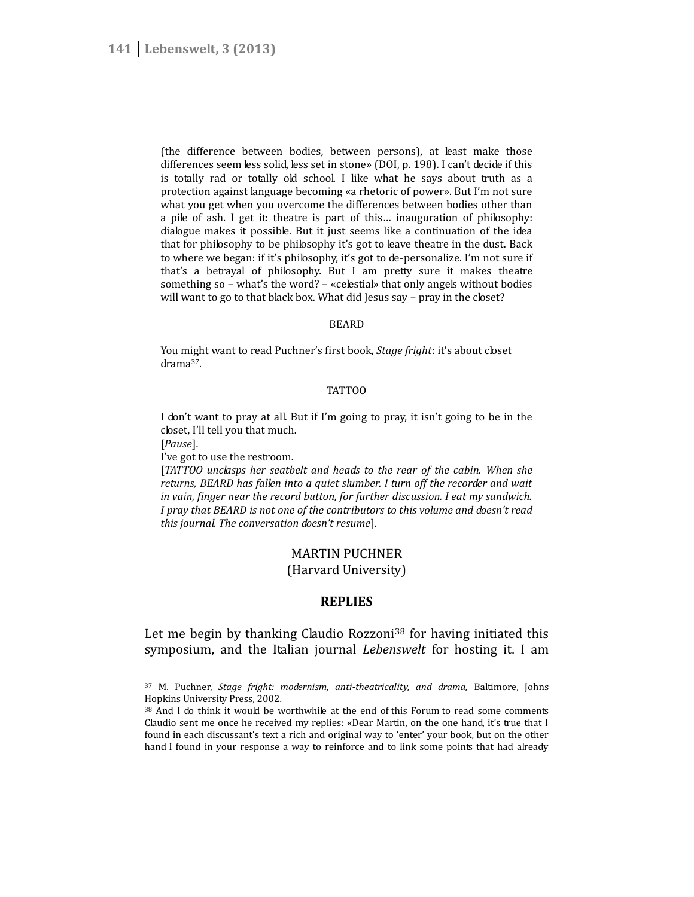(the difference between bodies, between persons), at least make those differences seem less solid, less set in stone» (DOI, p. 198). I can't decide if this is totally rad or totally old school. I like what he says about truth as a protection against language becoming «a rhetoric of power». But I'm not sure what you get when you overcome the differences between bodies other than a pile of ash. I get it: theatre is part of this… inauguration of philosophy: dialogue makes it possible. But it just seems like a continuation of the idea that for philosophy to be philosophy it's got to leave theatre in the dust. Back to where we began: if it's philosophy, it's got to de-personalize. I'm not sure if that's a betrayal of philosophy. But I am pretty sure it makes theatre something so – what's the word? – «celestial» that only angels without bodies will want to go to that black box. What did Jesus say - pray in the closet?

# BEARD

You might want to read Puchner's first book, *Stage fright*: it's about closet drama<sup>37</sup>.

#### TATTOO

I don't want to pray at all. But if I'm going to pray, it isn't going to be in the closet, I'll tell you that much.

[*Pause*].

I've got to use the restroom.

[*TATTOO unclasps her seatbelt and heads to the rear of the cabin. When she returns, BEARD has fallen into a quiet slumber. I turn off the recorder and wait in vain, finger near the record button, for further discussion. I eat my sandwich. I pray that BEARD is not one of the contributors to this volume and doesn't read this journal. The conversation doesn't resume*].

# MARTIN PUCHNER

(Harvard University)

# **REPLIES**

Let me begin by thanking Claudio Rozzoni<sup>38</sup> for having initiated this symposium, and the Italian journal *Lebenswelt* for hosting it. I am

<sup>37</sup> M. Puchner, *Stage fright: modernism, anti-theatricality, and drama,* Baltimore, Johns Hopkins University Press, 2002.

<sup>38</sup> And I do think it would be worthwhile at the end of this Forum to read some comments Claudio sent me once he received my replies: «Dear Martin, on the one hand, it's true that I found in each discussant's text a rich and original way to 'enter' your book, but on the other hand I found in your response a way to reinforce and to link some points that had already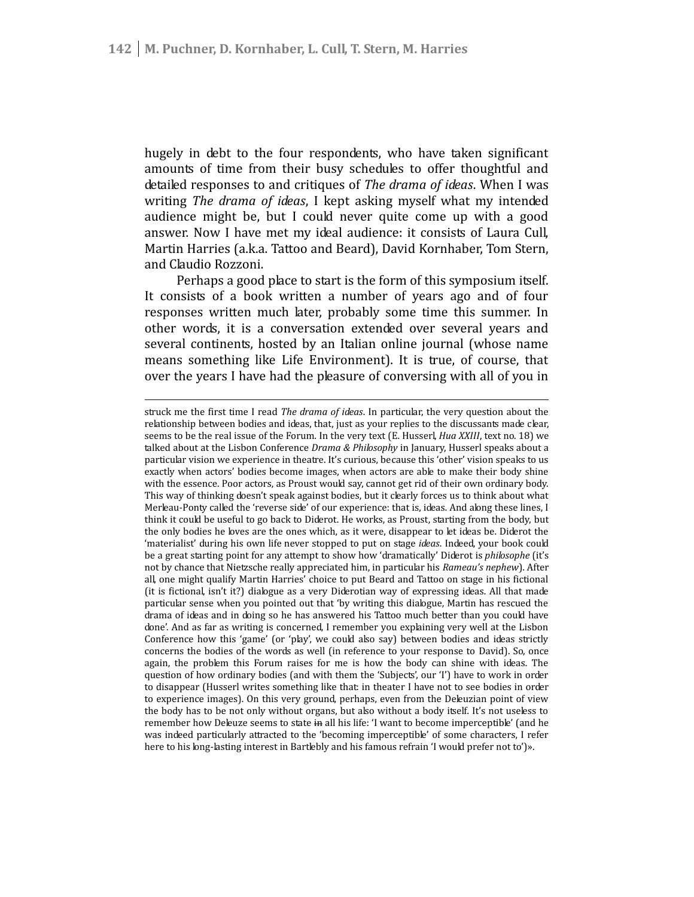hugely in debt to the four respondents, who have taken significant amounts of time from their busy schedules to offer thoughtful and detailed responses to and critiques of *The drama of ideas*. When I was writing *The drama of ideas*, I kept asking myself what my intended audience might be, but I could never quite come up with a good answer. Now I have met my ideal audience: it consists of Laura Cull, Martin Harries (a.k.a. Tattoo and Beard), David Kornhaber, Tom Stern, and Claudio Rozzoni.

Perhaps a good place to start is the form of this symposium itself. It consists of a book written a number of years ago and of four responses written much later, probably some time this summer. In other words, it is a conversation extended over several years and several continents, hosted by an Italian online journal (whose name means something like Life Environment). It is true, of course, that over the years I have had the pleasure of conversing with all of you in

struck me the first time I read *The drama of ideas*. In particular, the very question about the relationship between bodies and ideas, that, just as your replies to the discussants made clear, seems to be the real issue of the Forum. In the very text (E. Husserl, *Hua XXIII*, text no. 18) we talked about at the Lisbon Conference *Drama & Philosophy* in January, Husserl speaks about a particular vision we experience in theatre. It's curious, because this 'other' vision speaks to us exactly when actors' bodies become images, when actors are able to make their body shine with the essence. Poor actors, as Proust would say, cannot get rid of their own ordinary body. This way of thinking doesn't speak against bodies, but it clearly forces us to think about what Merleau-Ponty called the 'reverse side' of our experience: that is, ideas. And along these lines, I think it could be useful to go back to Diderot. He works, as Proust, starting from the body, but the only bodies he loves are the ones which, as it were, disappear to let ideas be. Diderot the 'materialist' during his own life never stopped to put on stage *ideas*. Indeed, your book could be a great starting point for any attempt to show how 'dramatically' Diderot is *philosophe* (it's not by chance that Nietzsche really appreciated him, in particular his *Rameau's nephew*). After all, one might qualify Martin Harries' choice to put Beard and Tattoo on stage in his fictional (it is fictional, isn't it?) dialogue as a very Diderotian way of expressing ideas. All that made particular sense when you pointed out that 'by writing this dialogue, Martin has rescued the drama of ideas and in doing so he has answered his Tattoo much better than you could have done'. And as far as writing is concerned, I remember you explaining very well at the Lisbon Conference how this 'game' (or 'play', we could also say) between bodies and ideas strictly concerns the bodies of the words as well (in reference to your response to David). So, once again, the problem this Forum raises for me is how the body can shine with ideas. The question of how ordinary bodies (and with them the 'Subjects', our 'I') have to work in order to disappear (Husserl writes something like that: in theater I have not to see bodies in order to experience images). On this very ground, perhaps, even from the Deleuzian point of view the body has to be not only without organs, but also without a body itself. It's not useless to remember how Deleuze seems to state in all his life: 'I want to become imperceptible' (and he was indeed particularly attracted to the 'becoming imperceptible' of some characters, I refer here to his long-lasting interest in Bartlebly and his famous refrain 'I would prefer not to')».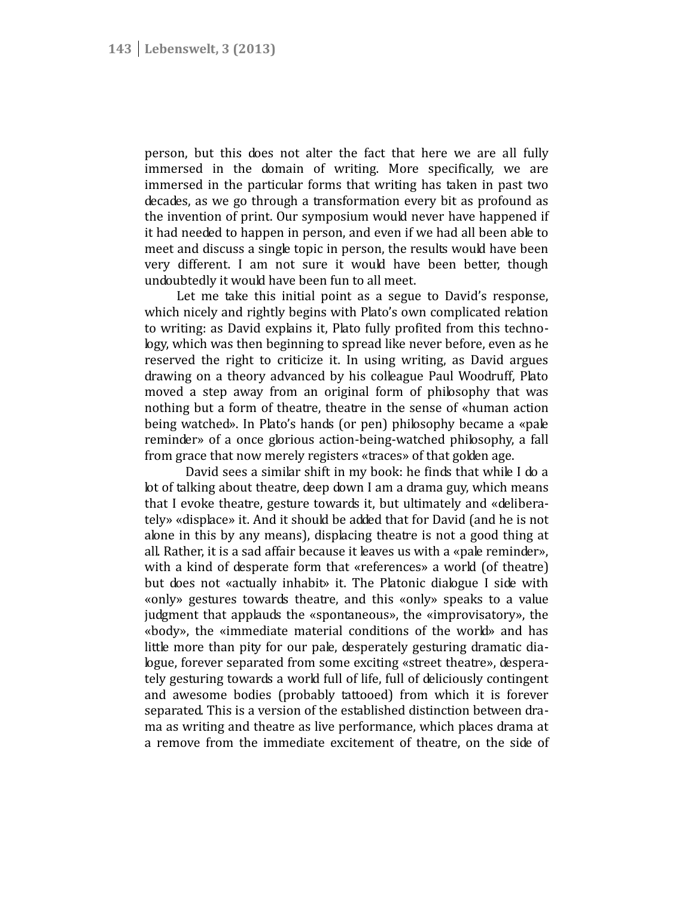person, but this does not alter the fact that here we are all fully immersed in the domain of writing. More specifically, we are immersed in the particular forms that writing has taken in past two decades, as we go through a transformation every bit as profound as the invention of print. Our symposium would never have happened if it had needed to happen in person, and even if we had all been able to meet and discuss a single topic in person, the results would have been very different. I am not sure it would have been better, though undoubtedly it would have been fun to all meet.

Let me take this initial point as a segue to David's response, which nicely and rightly begins with Plato's own complicated relation to writing: as David explains it, Plato fully profited from this technology, which was then beginning to spread like never before, even as he reserved the right to criticize it. In using writing, as David argues drawing on a theory advanced by his colleague Paul Woodruff, Plato moved a step away from an original form of philosophy that was nothing but a form of theatre, theatre in the sense of «human action being watched». In Plato's hands (or pen) philosophy became a «pale reminder» of a once glorious action-being-watched philosophy, a fall from grace that now merely registers «traces» of that golden age.

David sees a similar shift in my book: he finds that while I do a lot of talking about theatre, deep down I am a drama guy, which means that I evoke theatre, gesture towards it, but ultimately and «delibera tely» «displace» it. And it should be added that for David (and he is not alone in this by any means), displacing theatre is not a good thing at all. Rather, it is a sad affair because it leaves us with a «pale reminder», with a kind of desperate form that «references» a world (of theatre) but does not «actually inhabit» it. The Platonic dialogue I side with «only» gestures towards theatre, and this «only» speaks to a value judgment that applauds the «spontaneous», the «improvisatory», the «body», the «immediate material conditions of the world» and has little more than pity for our pale, desperately gesturing dramatic dialogue, forever separated from some exciting «street theatre», despera tely gesturing towards a world full of life, full of deliciously contingent and awesome bodies (probably tattooed) from which it is forever separated. This is a version of the established distinction between dra ma as writing and theatre as live performance, which places drama at a remove from the immediate excitement of theatre, on the side of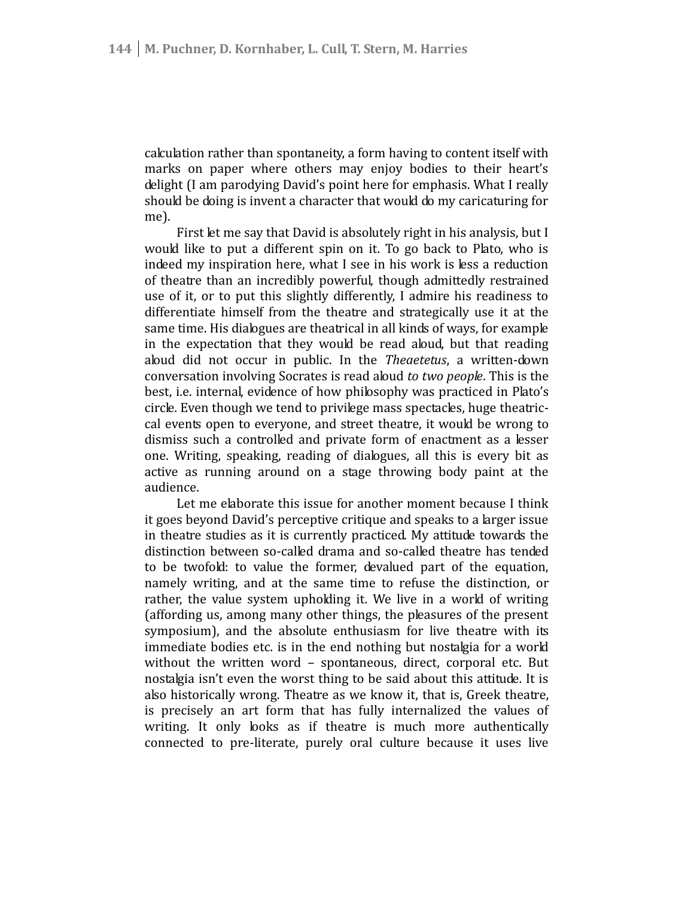calculation rather than spontaneity, a form having to content itself with marks on paper where others may enjoy bodies to their heart's delight (I am parodying David's point here for emphasis. What I really should be doing is invent a character that would do my caricaturing for me).

First let me say that David is absolutely right in his analysis, but I would like to put a different spin on it. To go back to Plato, who is indeed my inspiration here, what I see in his work is less a reduction of theatre than an incredibly powerful, though admittedly restrained use of it, or to put this slightly differently, I admire his readiness to differentiate himself from the theatre and strategically use it at the same time. His dialogues are theatrical in all kinds of ways, for example in the expectation that they would be read aloud, but that reading aloud did not occur in public. In the *Theaetetus*, a written-down conversation involving Socrates is read aloud *to two people*. This is the best, i.e. internal, evidence of how philosophy was practiced in Plato's circle. Even though we tend to privilege mass spectacles, huge theatric cal events open to everyone, and street theatre, it would be wrong to dismiss such a controlled and private form of enactment as a lesser one. Writing, speaking, reading of dialogues, all this is every bit as active as running around on a stage throwing body paint at the audience.

Let me elaborate this issue for another moment because I think it goes beyond David's perceptive critique and speaks to a larger issue in theatre studies as it is currently practiced. My attitude towards the distinction between so-called drama and so-called theatre has tended to be twofold: to value the former, devalued part of the equation, namely writing, and at the same time to refuse the distinction, or rather, the value system upholding it. We live in a world of writing (affording us, among many other things, the pleasures of the present symposium), and the absolute enthusiasm for live theatre with its immediate bodies etc. is in the end nothing but nostalgia for a world without the written word – spontaneous, direct, corporal etc. But nostalgia isn't even the worst thing to be said about this attitude. It is also historically wrong. Theatre as we know it, that is, Greek theatre, is precisely an art form that has fully internalized the values of writing. It only looks as if theatre is much more authentically connected to pre-literate, purely oral culture because it uses live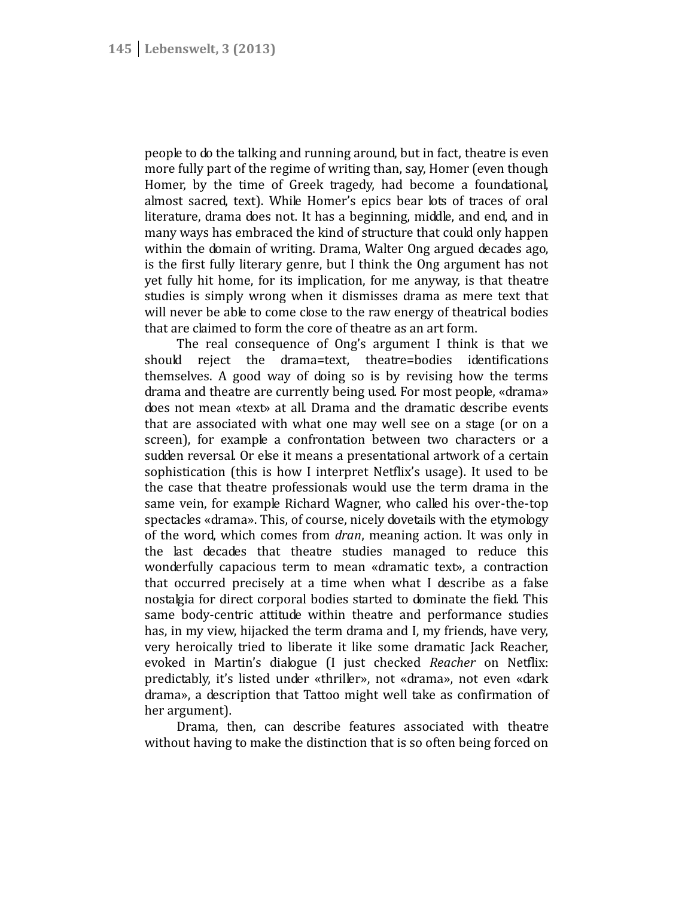people to do the talking and running around, but in fact, theatre is even more fully part of the regime of writing than, say, Homer (even though Homer, by the time of Greek tragedy, had become a foundational, almost sacred, text). While Homer's epics bear lots of traces of oral literature, drama does not. It has a beginning, middle, and end, and in many ways has embraced the kind of structure that could only happen within the domain of writing. Drama, Walter Ong argued decades ago, is the first fully literary genre, but I think the Ong argument has not yet fully hit home, for its implication, for me anyway, is that theatre studies is simply wrong when it dismisses drama as mere text that will never be able to come close to the raw energy of theatrical bodies that are claimed to form the core of theatre as an art form.

The real consequence of Ong's argument I think is that we should reject the drama=text, theatre=bodies identifications themselves. A good way of doing so is by revising how the terms drama and theatre are currently being used. For most people, «drama» does not mean «text» at all. Drama and the dramatic describe events that are associated with what one may well see on a stage (or on a screen), for example a confrontation between two characters or a sudden reversal. Or else it means a presentational artwork of a certain sophistication (this is how I interpret Netflix's usage). It used to be the case that theatre professionals would use the term drama in the same vein, for example Richard Wagner, who called his over-the-top spectacles «drama». This, of course, nicely dovetails with the etymology of the word, which comes from *dran*, meaning action. It was only in the last decades that theatre studies managed to reduce this wonderfully capacious term to mean «dramatic text», a contraction that occurred precisely at a time when what I describe as a false nostalgia for direct corporal bodies started to dominate the field. This same body-centric attitude within theatre and performance studies has, in my view, hijacked the term drama and I, my friends, have very, very heroically tried to liberate it like some dramatic Jack Reacher, evoked in Martin's dialogue (I just checked *Reacher* on Netflix: predictably, it's listed under «thriller», not «drama», not even «dark drama», a description that Tattoo might well take as confirmation of her argument).

Drama, then, can describe features associated with theatre without having to make the distinction that is so often being forced on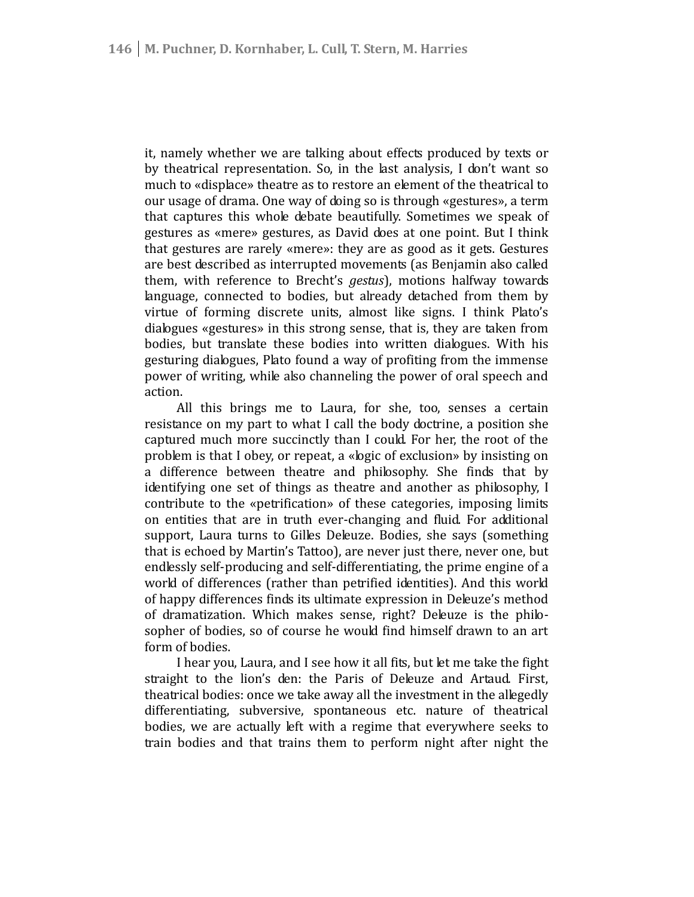it, namely whether we are talking about effects produced by texts or by theatrical representation. So, in the last analysis, I don't want so much to «displace» theatre as to restore an element of the theatrical to our usage of drama. One way of doing so is through «gestures», a term that captures this whole debate beautifully. Sometimes we speak of gestures as «mere» gestures, as David does at one point. But I think that gestures are rarely «mere»: they are as good as it gets. Gestures are best described as interrupted movements (as Benjamin also called them, with reference to Brecht's *gestus*), motions halfway towards language, connected to bodies, but already detached from them by virtue of forming discrete units, almost like signs. I think Plato's dialogues «gestures» in this strong sense, that is, they are taken from bodies, but translate these bodies into written dialogues. With his gesturing dialogues, Plato found a way of profiting from the immense power of writing, while also channeling the power of oral speech and action.

All this brings me to Laura, for she, too, senses a certain resistance on my part to what I call the body doctrine, a position she captured much more succinctly than I could. For her, the root of the problem is that I obey, or repeat, a «logic of exclusion» by insisting on a difference between theatre and philosophy. She finds that by identifying one set of things as theatre and another as philosophy, I contribute to the «petrification» of these categories, imposing limits on entities that are in truth ever-changing and fluid. For additional support, Laura turns to Gilles Deleuze. Bodies, she says (something that is echoed by Martin's Tattoo), are never just there, never one, but endlessly self-producing and self-differentiating, the prime engine of a world of differences (rather than petrified identities). And this world of happy differences finds its ultimate expression in Deleuze's method of dramatization. Which makes sense, right? Deleuze is the philo sopher of bodies, so of course he would find himself drawn to an art form of bodies.

I hear you, Laura, and I see how it all fits, but let me take the fight straight to the lion's den: the Paris of Deleuze and Artaud. First, theatrical bodies: once we take away all the investment in the allegedly differentiating, subversive, spontaneous etc. nature of theatrical bodies, we are actually left with a regime that everywhere seeks to train bodies and that trains them to perform night after night the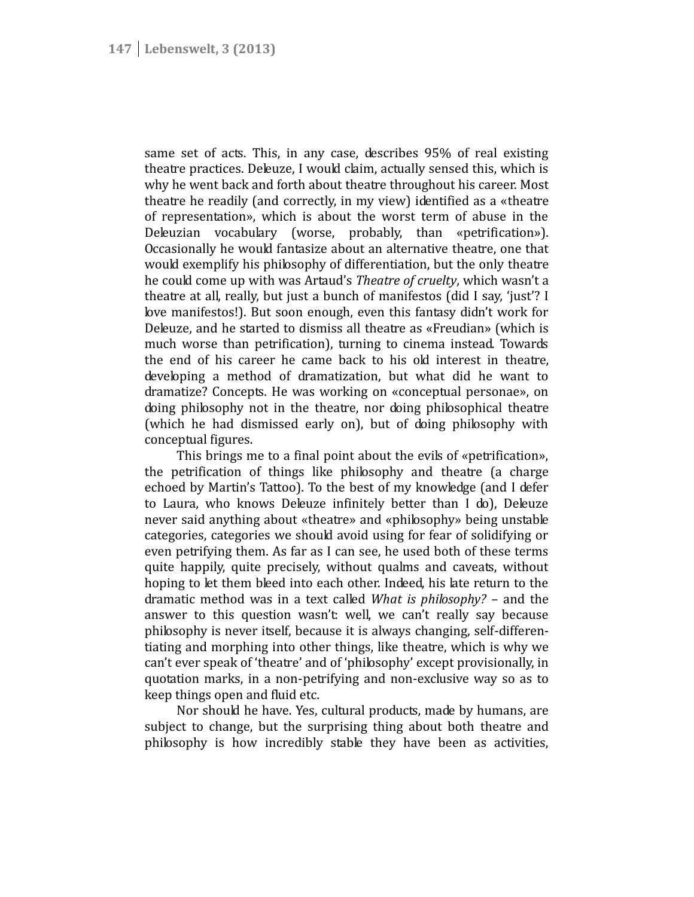same set of acts. This, in any case, describes 95% of real existing theatre practices. Deleuze, I would claim, actually sensed this, which is why he went back and forth about theatre throughout his career. Most theatre he readily (and correctly, in my view) identified as a «theatre of representation», which is about the worst term of abuse in the Deleuzian vocabulary (worse, probably, than «petrification»). Occasionally he would fantasize about an alternative theatre, one that would exemplify his philosophy of differentiation, but the only theatre he could come up with was Artaud's *Theatre of cruelty*, which wasn't a theatre at all, really, but just a bunch of manifestos (did I say, 'just'? I love manifestos!). But soon enough, even this fantasy didn't work for Deleuze, and he started to dismiss all theatre as «Freudian» (which is much worse than petrification), turning to cinema instead. Towards the end of his career he came back to his old interest in theatre, developing a method of dramatization, but what did he want to dramatize? Concepts. He was working on «conceptual personae», on doing philosophy not in the theatre, nor doing philosophical theatre (which he had dismissed early on), but of doing philosophy with conceptual figures.

This brings me to a final point about the evils of «petrification», the petrification of things like philosophy and theatre (a charge echoed by Martin's Tattoo). To the best of my knowledge (and I defer to Laura, who knows Deleuze infinitely better than I do), Deleuze never said anything about «theatre» and «philosophy» being unstable categories, categories we should avoid using for fear of solidifying or even petrifying them. As far as I can see, he used both of these terms quite happily, quite precisely, without qualms and caveats, without hoping to let them bleed into each other. Indeed, his late return to the dramatic method was in a text called *What is philosophy?* – and the answer to this question wasn't: well, we can't really say because philosophy is never itself, because it is always changing, self-differen tiating and morphing into other things, like theatre, which is why we can't ever speak of 'theatre' and of 'philosophy' except provisionally, in quotation marks, in a non-petrifying and non-exclusive way so as to keep things open and fluid etc.

Nor should he have. Yes, cultural products, made by humans, are subject to change, but the surprising thing about both theatre and philosophy is how incredibly stable they have been as activities,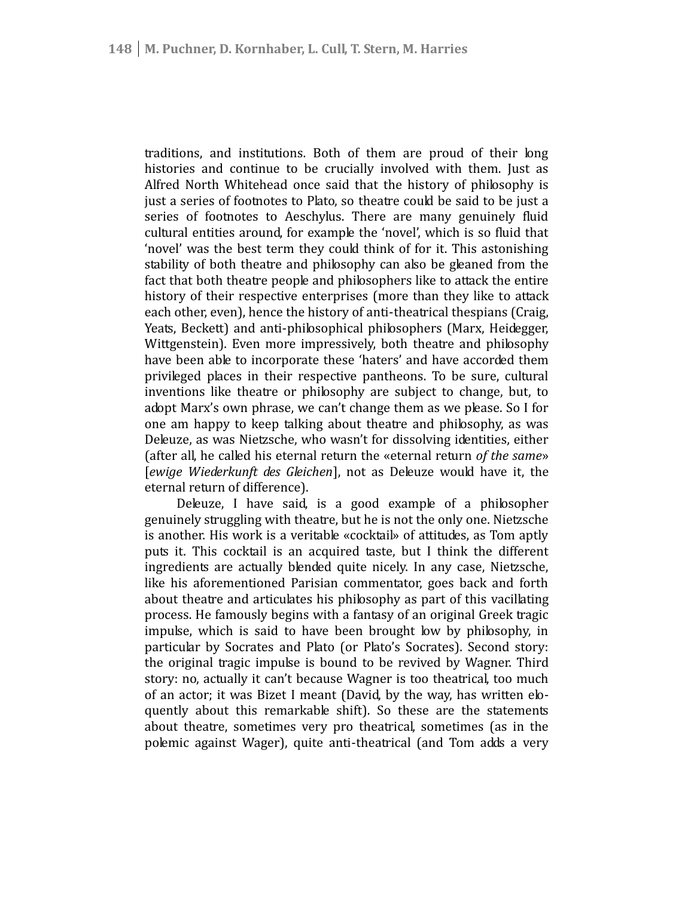traditions, and institutions. Both of them are proud of their long histories and continue to be crucially involved with them. Just as Alfred North Whitehead once said that the history of philosophy is just a series of footnotes to Plato, so theatre could be said to be just a series of footnotes to Aeschylus. There are many genuinely fluid cultural entities around, for example the 'novel', which is so fluid that 'novel' was the best term they could think of for it. This astonishing stability of both theatre and philosophy can also be gleaned from the fact that both theatre people and philosophers like to attack the entire history of their respective enterprises (more than they like to attack each other, even), hence the history of anti-theatrical thespians (Craig, Yeats, Beckett) and anti-philosophical philosophers (Marx, Heidegger, Wittgenstein). Even more impressively, both theatre and philosophy have been able to incorporate these 'haters' and have accorded them privileged places in their respective pantheons. To be sure, cultural inventions like theatre or philosophy are subject to change, but, to adopt Marx's own phrase, we can't change them as we please. So I for one am happy to keep talking about theatre and philosophy, as was Deleuze, as was Nietzsche, who wasn't for dissolving identities, either (after all, he called his eternal return the «eternal return *of the same*» [*ewige Wiederkunft des Gleichen*], not as Deleuze would have it, the eternal return of difference).

Deleuze, I have said, is a good example of a philosopher genuinely struggling with theatre, but he is not the only one. Nietzsche is another. His work is a veritable «cocktail» of attitudes, as Tom aptly puts it. This cocktail is an acquired taste, but I think the different ingredients are actually blended quite nicely. In any case, Nietzsche, like his aforementioned Parisian commentator, goes back and forth about theatre and articulates his philosophy as part of this vacillating process. He famously begins with a fantasy of an original Greek tragic impulse, which is said to have been brought low by philosophy, in particular by Socrates and Plato (or Plato's Socrates). Second story: the original tragic impulse is bound to be revived by Wagner. Third story: no, actually it can't because Wagner is too theatrical, too much of an actor; it was Bizet I meant (David, by the way, has written elo quently about this remarkable shift). So these are the statements about theatre, sometimes very pro theatrical, sometimes (as in the polemic against Wager), quite anti-theatrical (and Tom adds a very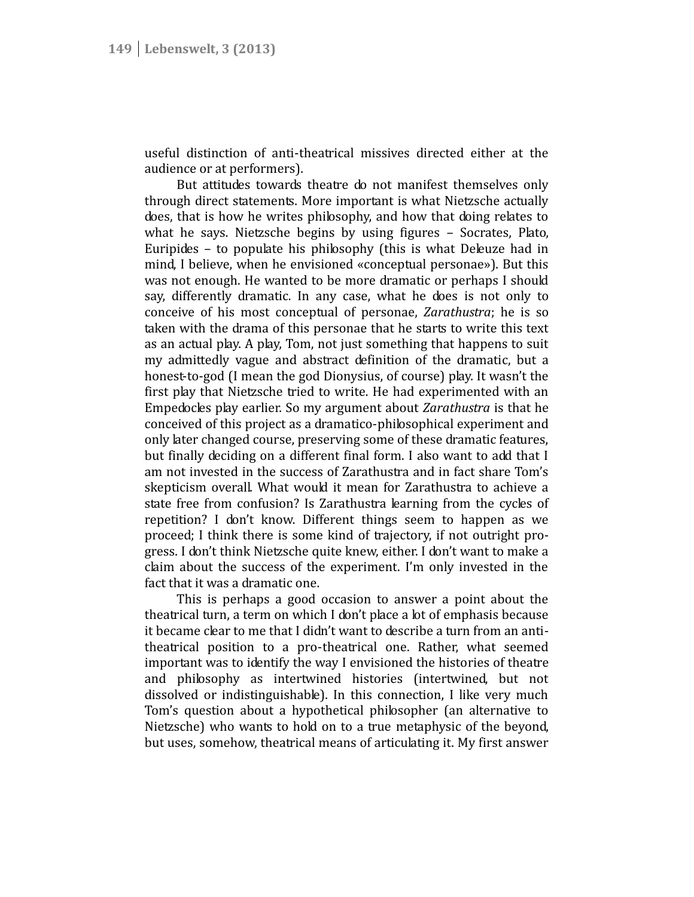useful distinction of anti-theatrical missives directed either at the audience or at performers).

But attitudes towards theatre do not manifest themselves only through direct statements. More important is what Nietzsche actually does, that is how he writes philosophy, and how that doing relates to what he says. Nietzsche begins by using figures – Socrates, Plato, Euripides – to populate his philosophy (this is what Deleuze had in mind, I believe, when he envisioned «conceptual personae»). But this was not enough. He wanted to be more dramatic or perhaps I should say, differently dramatic. In any case, what he does is not only to conceive of his most conceptual of personae, *Zarathustra*; he is so taken with the drama of this personae that he starts to write this text as an actual play. A play, Tom, not just something that happens to suit my admittedly vague and abstract definition of the dramatic, but a honest-to-god (I mean the god Dionysius, of course) play. It wasn't the first play that Nietzsche tried to write. He had experimented with an Empedocles play earlier. So my argument about *Zarathustra* is that he conceived of this project as a dramatico-philosophical experiment and only later changed course, preserving some of these dramatic features, but finally deciding on a different final form. I also want to add that I am not invested in the success of Zarathustra and in fact share Tom's skepticism overall. What would it mean for Zarathustra to achieve a state free from confusion? Is Zarathustra learning from the cycles of repetition? I don't know. Different things seem to happen as we proceed; I think there is some kind of trajectory, if not outright pro gress. I don't think Nietzsche quite knew, either. I don't want to make a claim about the success of the experiment. I'm only invested in the fact that it was a dramatic one.

This is perhaps a good occasion to answer a point about the theatrical turn, a term on which I don't place a lot of emphasis because it became clear to me that I didn't want to describe a turn from an anti theatrical position to a pro-theatrical one. Rather, what seemed important was to identify the way I envisioned the histories of theatre and philosophy as intertwined histories (intertwined, but not dissolved or indistinguishable). In this connection, I like very much Tom's question about a hypothetical philosopher (an alternative to Nietzsche) who wants to hold on to a true metaphysic of the beyond, but uses, somehow, theatrical means of articulating it. My first answer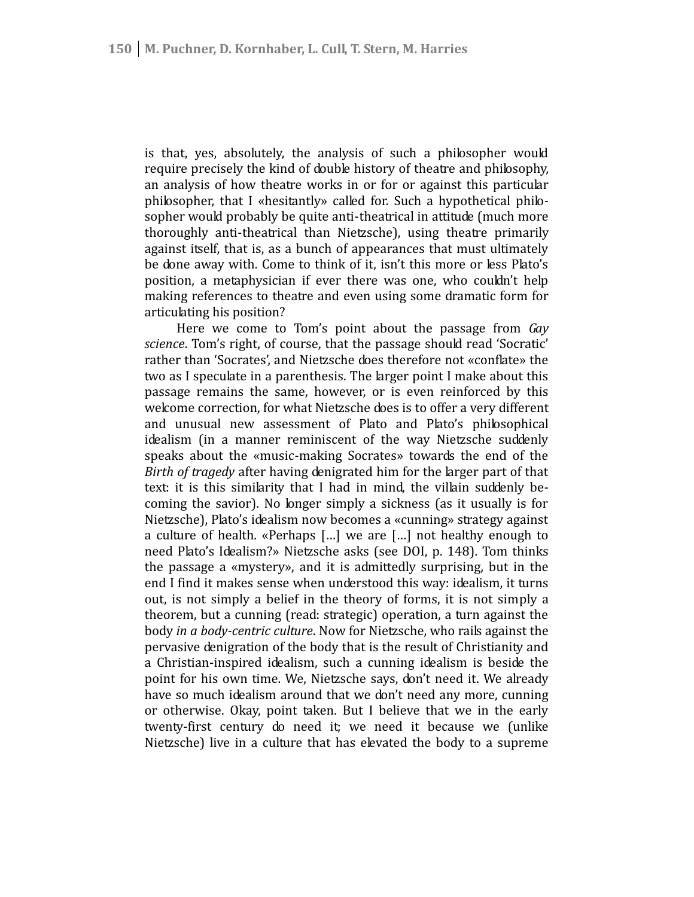is that, yes, absolutely, the analysis of such a philosopher would require precisely the kind of double history of theatre and philosophy, an analysis of how theatre works in or for or against this particular philosopher, that I «hesitantly» called for. Such a hypothetical philo sopher would probably be quite anti-theatrical in attitude (much more thoroughly anti-theatrical than Nietzsche), using theatre primarily against itself, that is, as a bunch of appearances that must ultimately be done away with. Come to think of it, isn't this more or less Plato's position, a metaphysician if ever there was one, who couldn't help making references to theatre and even using some dramatic form for articulating his position?

Here we come to Tom's point about the passage from *Gay science*. Tom's right, of course, that the passage should read 'Socratic' rather than 'Socrates', and Nietzsche does therefore not «conflate» the two as I speculate in a parenthesis. The larger point I make about this passage remains the same, however, or is even reinforced by this welcome correction, for what Nietzsche does is to offer a very different and unusual new assessment of Plato and Plato's philosophical idealism (in a manner reminiscent of the way Nietzsche suddenly speaks about the «music-making Socrates» towards the end of the *Birth of tragedy* after having denigrated him for the larger part of that text: it is this similarity that I had in mind, the villain suddenly be coming the savior). No longer simply a sickness (as it usually is for Nietzsche), Plato's idealism now becomes a «cunning» strategy against a culture of health. «Perhaps […] we are […] not healthy enough to need Plato's Idealism?» Nietzsche asks (see DOI, p. 148). Tom thinks the passage a «mystery», and it is admittedly surprising, but in the end I find it makes sense when understood this way: idealism, it turns out, is not simply a belief in the theory of forms, it is not simply a theorem, but a cunning (read: strategic) operation, a turn against the body *in a body-centric culture*. Now for Nietzsche, who rails against the pervasive denigration of the body that is the result of Christianity and a Christian-inspired idealism, such a cunning idealism is beside the point for his own time. We, Nietzsche says, don't need it. We already have so much idealism around that we don't need any more, cunning or otherwise. Okay, point taken. But I believe that we in the early twenty-first century do need it; we need it because we (unlike Nietzsche) live in a culture that has elevated the body to a supreme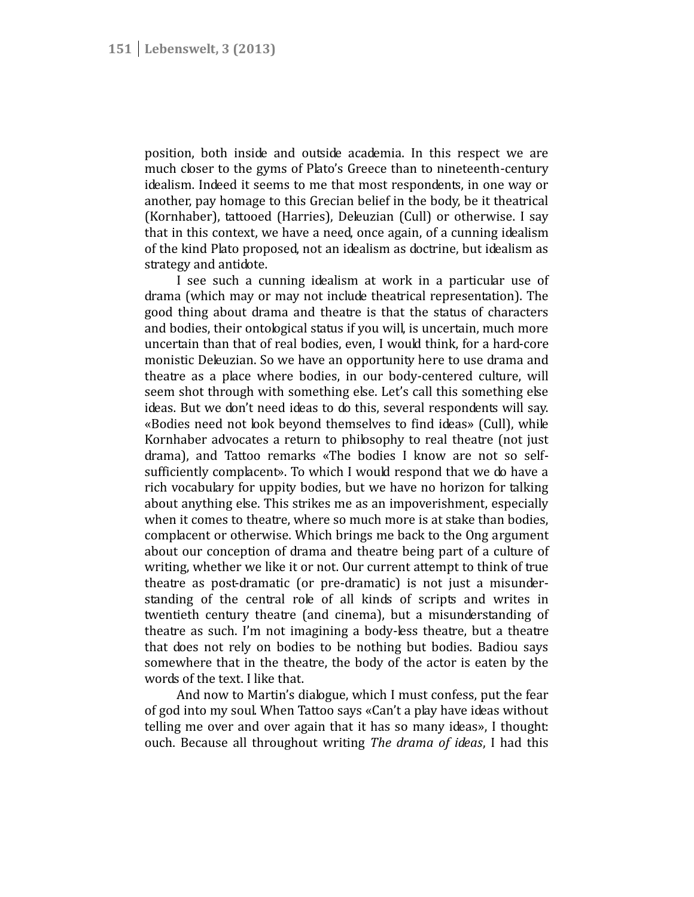position, both inside and outside academia. In this respect we are much closer to the gyms of Plato's Greece than to nineteenth-century idealism. Indeed it seems to me that most respondents, in one way or another, pay homage to this Grecian belief in the body, be it theatrical (Kornhaber), tattooed (Harries), Deleuzian (Cull) or otherwise. I say that in this context, we have a need, once again, of a cunning idealism of the kind Plato proposed, not an idealism as doctrine, but idealism as strategy and antidote.

I see such a cunning idealism at work in a particular use of drama (which may or may not include theatrical representation). The good thing about drama and theatre is that the status of characters and bodies, their ontological status if you will, is uncertain, much more uncertain than that of real bodies, even, I would think, for a hard-core monistic Deleuzian. So we have an opportunity here to use drama and theatre as a place where bodies, in our body-centered culture, will seem shot through with something else. Let's call this something else ideas. But we don't need ideas to do this, several respondents will say. «Bodies need not look beyond themselves to find ideas» (Cull), while Kornhaber advocates a return to philosophy to real theatre (not just drama), and Tattoo remarks «The bodies I know are not so self sufficiently complacent». To which I would respond that we do have a rich vocabulary for uppity bodies, but we have no horizon for talking about anything else. This strikes me as an impoverishment, especially when it comes to theatre, where so much more is at stake than bodies, complacent or otherwise. Which brings me back to the Ong argument about our conception of drama and theatre being part of a culture of writing, whether we like it or not. Our current attempt to think of true theatre as post-dramatic (or pre-dramatic) is not just a misunder standing of the central role of all kinds of scripts and writes in twentieth century theatre (and cinema), but a misunderstanding of theatre as such. I'm not imagining a body-less theatre, but a theatre that does not rely on bodies to be nothing but bodies. Badiou says somewhere that in the theatre, the body of the actor is eaten by the words of the text. I like that.

And now to Martin's dialogue, which I must confess, put the fear of god into my soul. When Tattoo says «Can't a play have ideas without telling me over and over again that it has so many ideas», I thought: ouch. Because all throughout writing *The drama of ideas*, I had this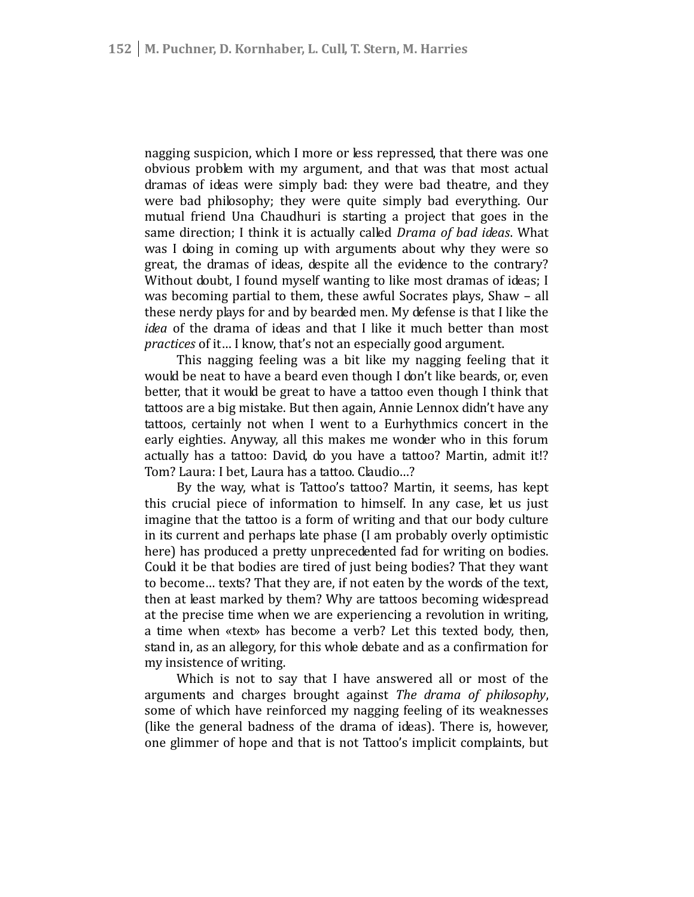nagging suspicion, which I more or less repressed, that there was one obvious problem with my argument, and that was that most actual dramas of ideas were simply bad: they were bad theatre, and they were bad philosophy; they were quite simply bad everything. Our mutual friend Una Chaudhuri is starting a project that goes in the same direction; I think it is actually called *Drama of bad ideas*. What was I doing in coming up with arguments about why they were so great, the dramas of ideas, despite all the evidence to the contrary? Without doubt, I found myself wanting to like most dramas of ideas; I was becoming partial to them, these awful Socrates plays, Shaw – all these nerdy plays for and by bearded men. My defense is that I like the *idea* of the drama of ideas and that I like it much better than most *practices* of it… I know, that's not an especially good argument.

This nagging feeling was a bit like my nagging feeling that it would be neat to have a beard even though I don't like beards, or, even better, that it would be great to have a tattoo even though I think that tattoos are a big mistake. But then again, Annie Lennox didn't have any tattoos, certainly not when I went to a Eurhythmics concert in the early eighties. Anyway, all this makes me wonder who in this forum actually has a tattoo: David, do you have a tattoo? Martin, admit it!? Tom? Laura: I bet, Laura has a tattoo. Claudio…?

By the way, what is Tattoo's tattoo? Martin, it seems, has kept this crucial piece of information to himself. In any case, let us just imagine that the tattoo is a form of writing and that our body culture in its current and perhaps late phase (I am probably overly optimistic here) has produced a pretty unprecedented fad for writing on bodies. Could it be that bodies are tired of just being bodies? That they want to become… texts? That they are, if not eaten by the words of the text, then at least marked by them? Why are tattoos becoming widespread at the precise time when we are experiencing a revolution in writing, a time when «text» has become a verb? Let this texted body, then, stand in, as an allegory, for this whole debate and as a confirmation for my insistence of writing.

Which is not to say that I have answered all or most of the arguments and charges brought against *The drama of philosophy*, some of which have reinforced my nagging feeling of its weaknesses (like the general badness of the drama of ideas). There is, however, one glimmer of hope and that is not Tattoo's implicit complaints, but